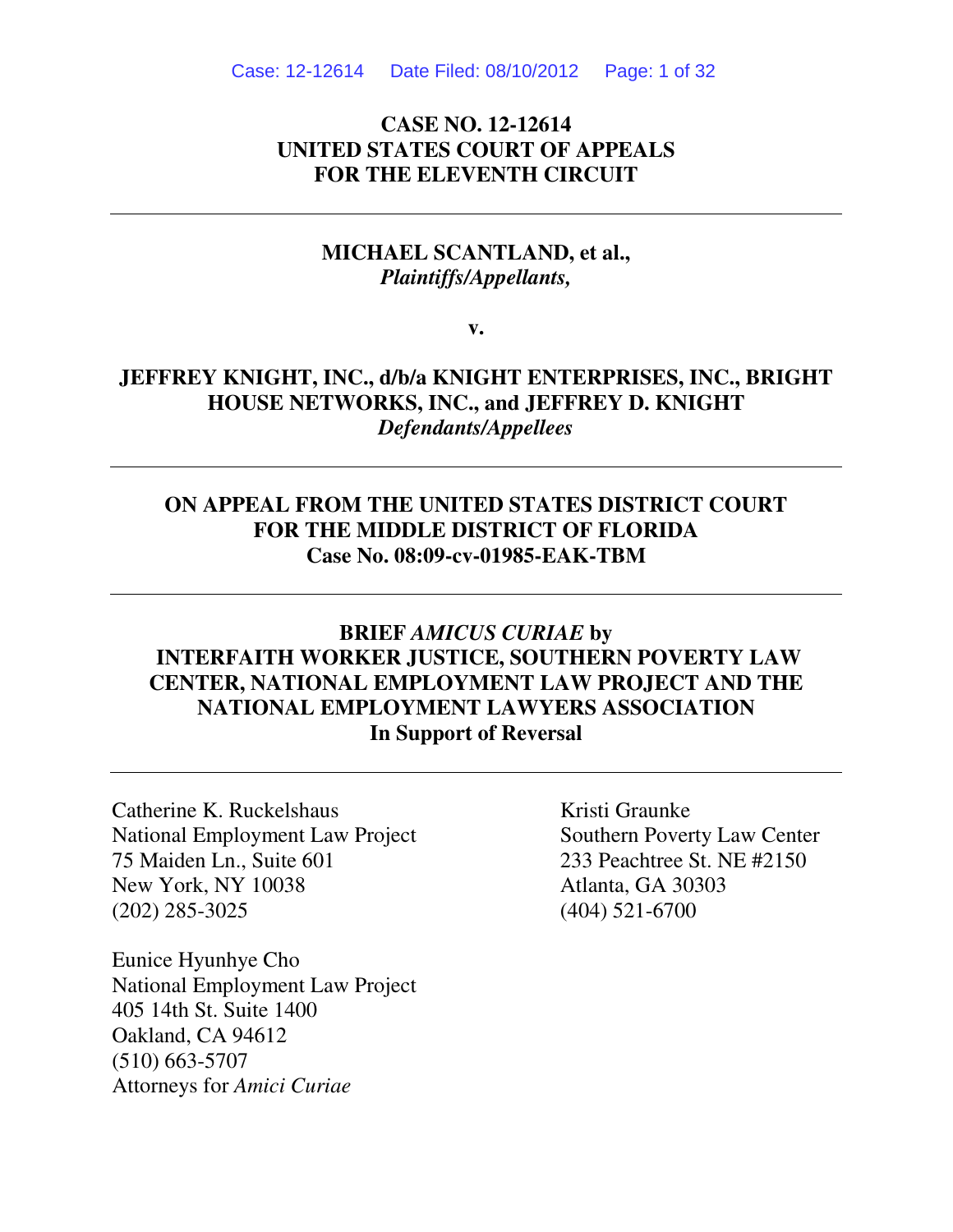Case: 12-12614 Date Filed: 08/10/2012 Page: 1 of 32

# **CASE NO. 12-12614 UNITED STATES COURT OF APPEALS FOR THE ELEVENTH CIRCUIT**

### **MICHAEL SCANTLAND, et al.,**  *Plaintiffs/Appellants,*

**v.** 

# **JEFFREY KNIGHT, INC., d/b/a KNIGHT ENTERPRISES, INC., BRIGHT HOUSE NETWORKS, INC., and JEFFREY D. KNIGHT**  *Defendants/Appellees*

# **ON APPEAL FROM THE UNITED STATES DISTRICT COURT FOR THE MIDDLE DISTRICT OF FLORIDA Case No. 08:09-cv-01985-EAK-TBM**

# **BRIEF** *AMICUS CURIAE* **by INTERFAITH WORKER JUSTICE, SOUTHERN POVERTY LAW CENTER, NATIONAL EMPLOYMENT LAW PROJECT AND THE NATIONAL EMPLOYMENT LAWYERS ASSOCIATION In Support of Reversal**

Catherine K. Ruckelshaus Kristi Graunke National Employment Law Project Southern Poverty Law Center 75 Maiden Ln., Suite 601 233 Peachtree St. NE #2150 New York, NY 10038 Atlanta, GA 30303 (202) 285-3025 (404) 521-6700

Eunice Hyunhye Cho National Employment Law Project 405 14th St. Suite 1400 Oakland, CA 94612 (510) 663-5707 Attorneys for *Amici Curiae*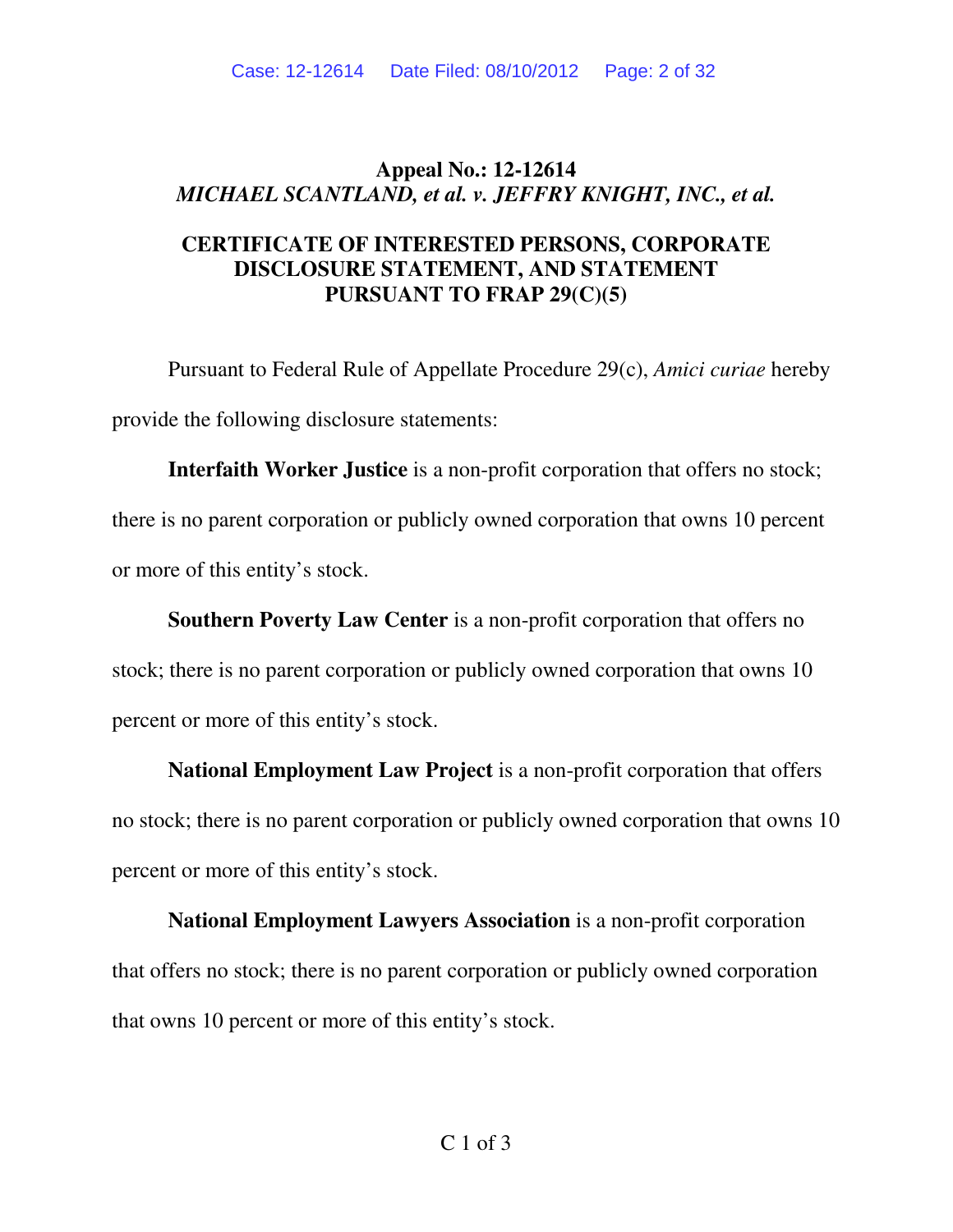# **Appeal No.: 12-12614**  *MICHAEL SCANTLAND, et al. v. JEFFRY KNIGHT, INC., et al.*

# **CERTIFICATE OF INTERESTED PERSONS, CORPORATE DISCLOSURE STATEMENT, AND STATEMENT PURSUANT TO FRAP 29(C)(5)**

Pursuant to Federal Rule of Appellate Procedure 29(c), *Amici curiae* hereby provide the following disclosure statements:

 **Interfaith Worker Justice** is a non-profit corporation that offers no stock; there is no parent corporation or publicly owned corporation that owns 10 percent or more of this entity's stock.

**Southern Poverty Law Center** is a non-profit corporation that offers no stock; there is no parent corporation or publicly owned corporation that owns 10 percent or more of this entity's stock.

**National Employment Law Project** is a non-profit corporation that offers no stock; there is no parent corporation or publicly owned corporation that owns 10 percent or more of this entity's stock.

**National Employment Lawyers Association** is a non-profit corporation that offers no stock; there is no parent corporation or publicly owned corporation that owns 10 percent or more of this entity's stock.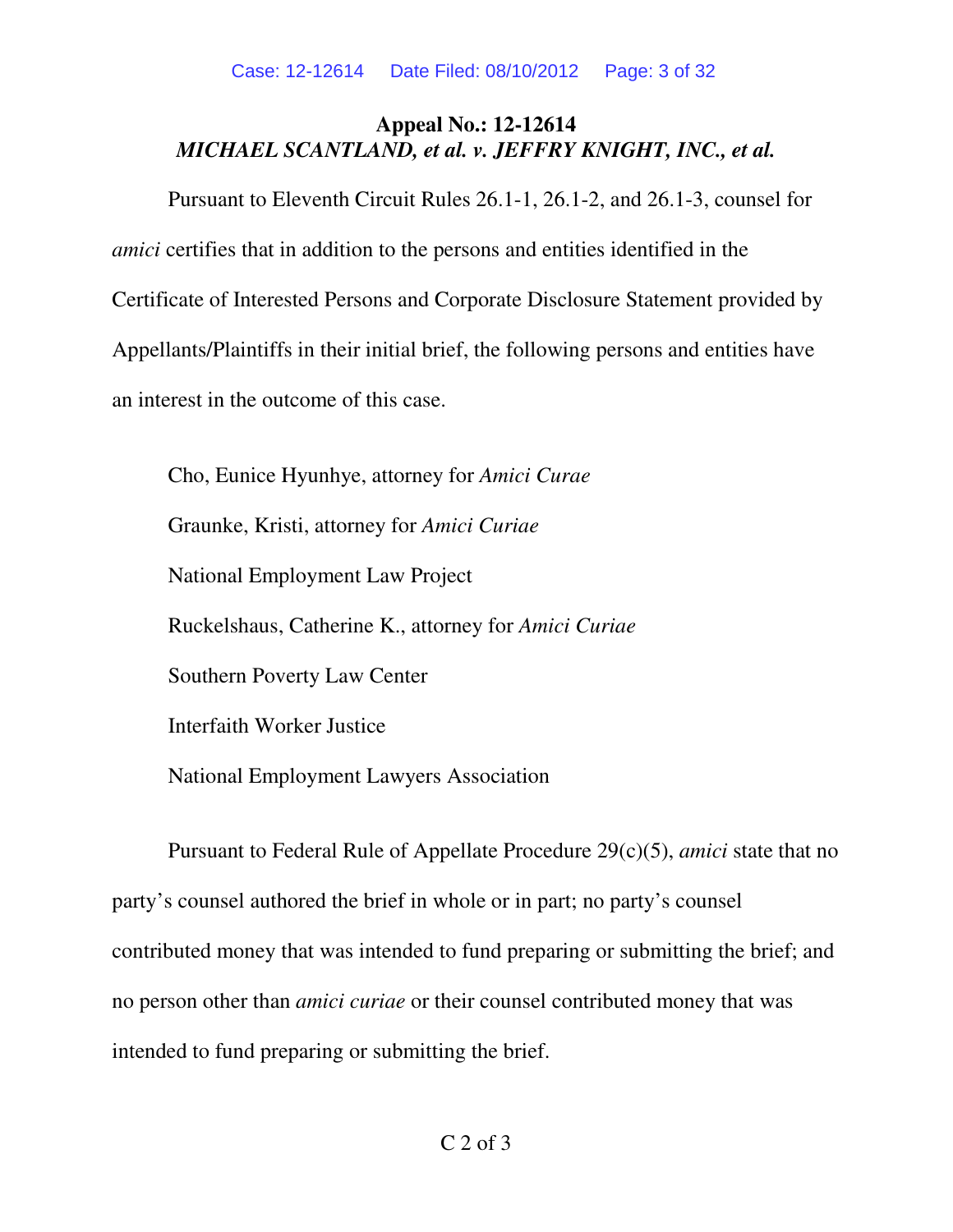# **Appeal No.: 12-12614**  *MICHAEL SCANTLAND, et al. v. JEFFRY KNIGHT, INC., et al.*

Pursuant to Eleventh Circuit Rules 26.1-1, 26.1-2, and 26.1-3, counsel for *amici* certifies that in addition to the persons and entities identified in the Certificate of Interested Persons and Corporate Disclosure Statement provided by Appellants/Plaintiffs in their initial brief, the following persons and entities have an interest in the outcome of this case.

 Cho, Eunice Hyunhye, attorney for *Amici Curae*  Graunke, Kristi, attorney for *Amici Curiae*  National Employment Law Project Ruckelshaus, Catherine K., attorney for *Amici Curiae* Southern Poverty Law Center Interfaith Worker Justice National Employment Lawyers Association

 Pursuant to Federal Rule of Appellate Procedure 29(c)(5), *amici* state that no party's counsel authored the brief in whole or in part; no party's counsel contributed money that was intended to fund preparing or submitting the brief; and no person other than *amici curiae* or their counsel contributed money that was intended to fund preparing or submitting the brief.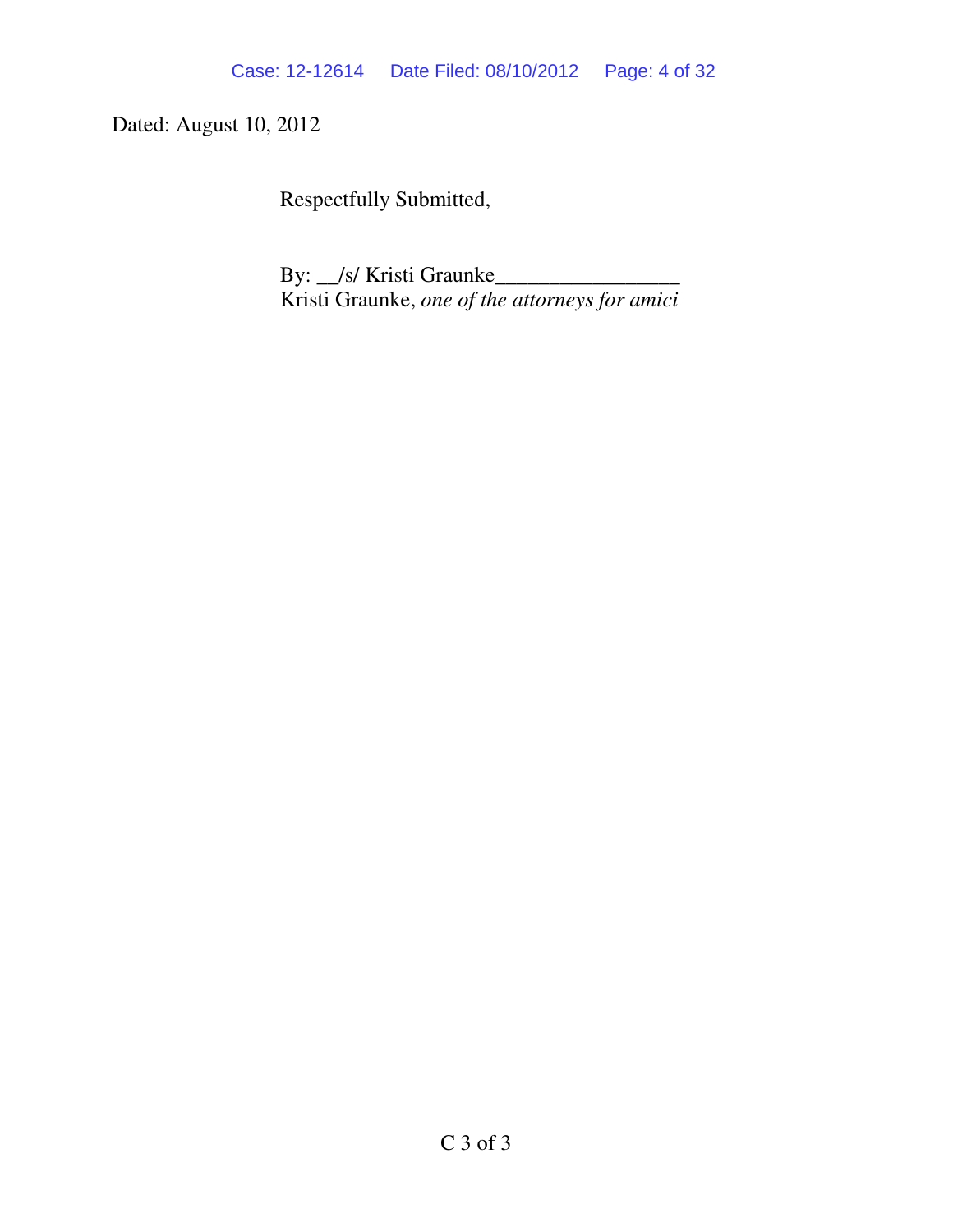Dated: August 10, 2012

Respectfully Submitted,

 By: \_\_/s/ Kristi Graunke\_\_\_\_\_\_\_\_\_\_\_\_\_\_\_\_\_ Kristi Graunke, *one of the attorneys for amici*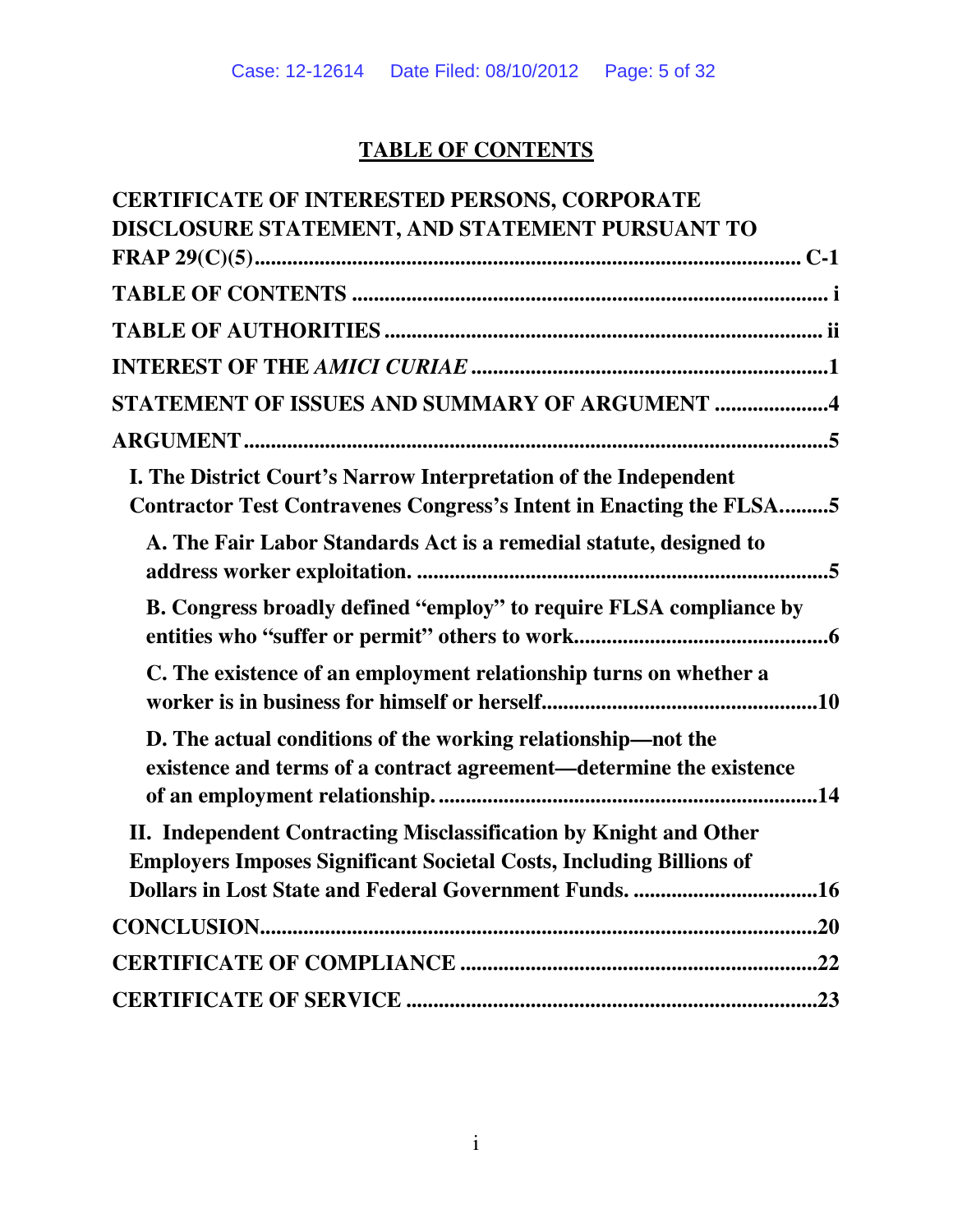# **TABLE OF CONTENTS**

| <b>CERTIFICATE OF INTERESTED PERSONS, CORPORATE</b>                                                                                             |
|-------------------------------------------------------------------------------------------------------------------------------------------------|
| DISCLOSURE STATEMENT, AND STATEMENT PURSUANT TO                                                                                                 |
|                                                                                                                                                 |
|                                                                                                                                                 |
|                                                                                                                                                 |
|                                                                                                                                                 |
| STATEMENT OF ISSUES AND SUMMARY OF ARGUMENT 4                                                                                                   |
|                                                                                                                                                 |
| I. The District Court's Narrow Interpretation of the Independent<br>Contractor Test Contravenes Congress's Intent in Enacting the FLSA5         |
| A. The Fair Labor Standards Act is a remedial statute, designed to                                                                              |
| B. Congress broadly defined "employ" to require FLSA compliance by                                                                              |
| C. The existence of an employment relationship turns on whether a                                                                               |
| D. The actual conditions of the working relationship—not the<br>existence and terms of a contract agreement—determine the existence             |
| II. Independent Contracting Misclassification by Knight and Other<br><b>Employers Imposes Significant Societal Costs, Including Billions of</b> |
|                                                                                                                                                 |
|                                                                                                                                                 |
|                                                                                                                                                 |
|                                                                                                                                                 |
|                                                                                                                                                 |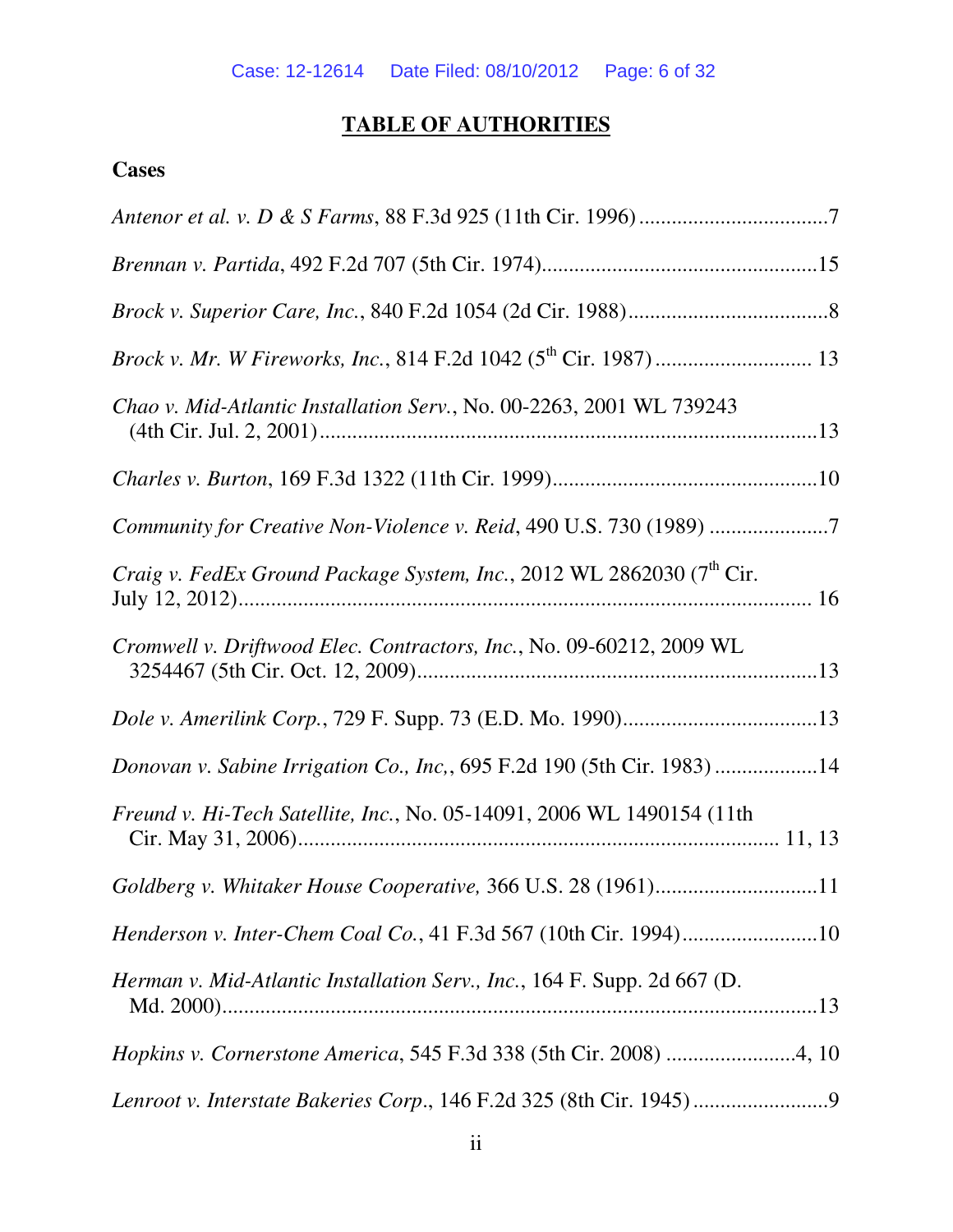# **TABLE OF AUTHORITIES**

# **Cases**

| Chao v. Mid-Atlantic Installation Serv., No. 00-2263, 2001 WL 739243              |
|-----------------------------------------------------------------------------------|
|                                                                                   |
| Community for Creative Non-Violence v. Reid, 490 U.S. 730 (1989) 7                |
| Craig v. FedEx Ground Package System, Inc., 2012 WL 2862030 (7 <sup>th</sup> Cir. |
| Cromwell v. Driftwood Elec. Contractors, Inc., No. 09-60212, 2009 WL              |
|                                                                                   |
| Donovan v. Sabine Irrigation Co., Inc., 695 F.2d 190 (5th Cir. 1983) 14           |
| Freund v. Hi-Tech Satellite, Inc., No. 05-14091, 2006 WL 1490154 (11th            |
| Goldberg v. Whitaker House Cooperative, 366 U.S. 28 (1961)11                      |
| Henderson v. Inter-Chem Coal Co., 41 F.3d 567 (10th Cir. 1994)10                  |
| Herman v. Mid-Atlantic Installation Serv., Inc., 164 F. Supp. 2d 667 (D.          |
| Hopkins v. Cornerstone America, 545 F.3d 338 (5th Cir. 2008) 4, 10                |
|                                                                                   |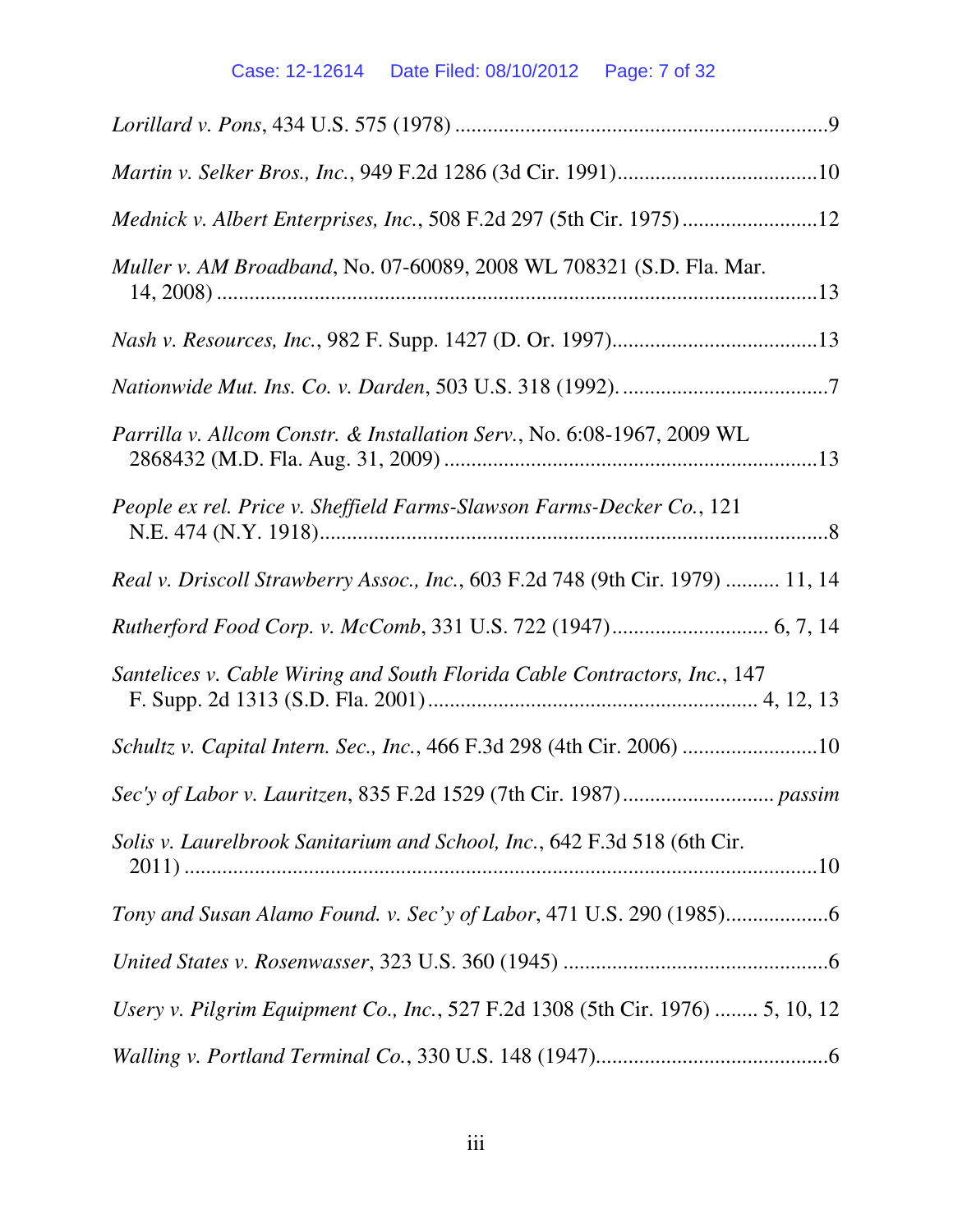# Case: 12-12614 Date Filed: 08/10/2012 Page: 7 of 32

| Mednick v. Albert Enterprises, Inc., 508 F.2d 297 (5th Cir. 1975)12            |
|--------------------------------------------------------------------------------|
| Muller v. AM Broadband, No. 07-60089, 2008 WL 708321 (S.D. Fla. Mar.           |
|                                                                                |
|                                                                                |
| Parrilla v. Allcom Constr. & Installation Serv., No. 6:08-1967, 2009 WL        |
| People ex rel. Price v. Sheffield Farms-Slawson Farms-Decker Co., 121          |
| Real v. Driscoll Strawberry Assoc., Inc., 603 F.2d 748 (9th Cir. 1979)  11, 14 |
|                                                                                |
| Santelices v. Cable Wiring and South Florida Cable Contractors, Inc., 147      |
| Schultz v. Capital Intern. Sec., Inc., 466 F.3d 298 (4th Cir. 2006) 10         |
|                                                                                |
| Solis v. Laurelbrook Sanitarium and School, Inc., 642 F.3d 518 (6th Cir.       |
|                                                                                |
|                                                                                |
| Usery v. Pilgrim Equipment Co., Inc., 527 F.2d 1308 (5th Cir. 1976)  5, 10, 12 |
|                                                                                |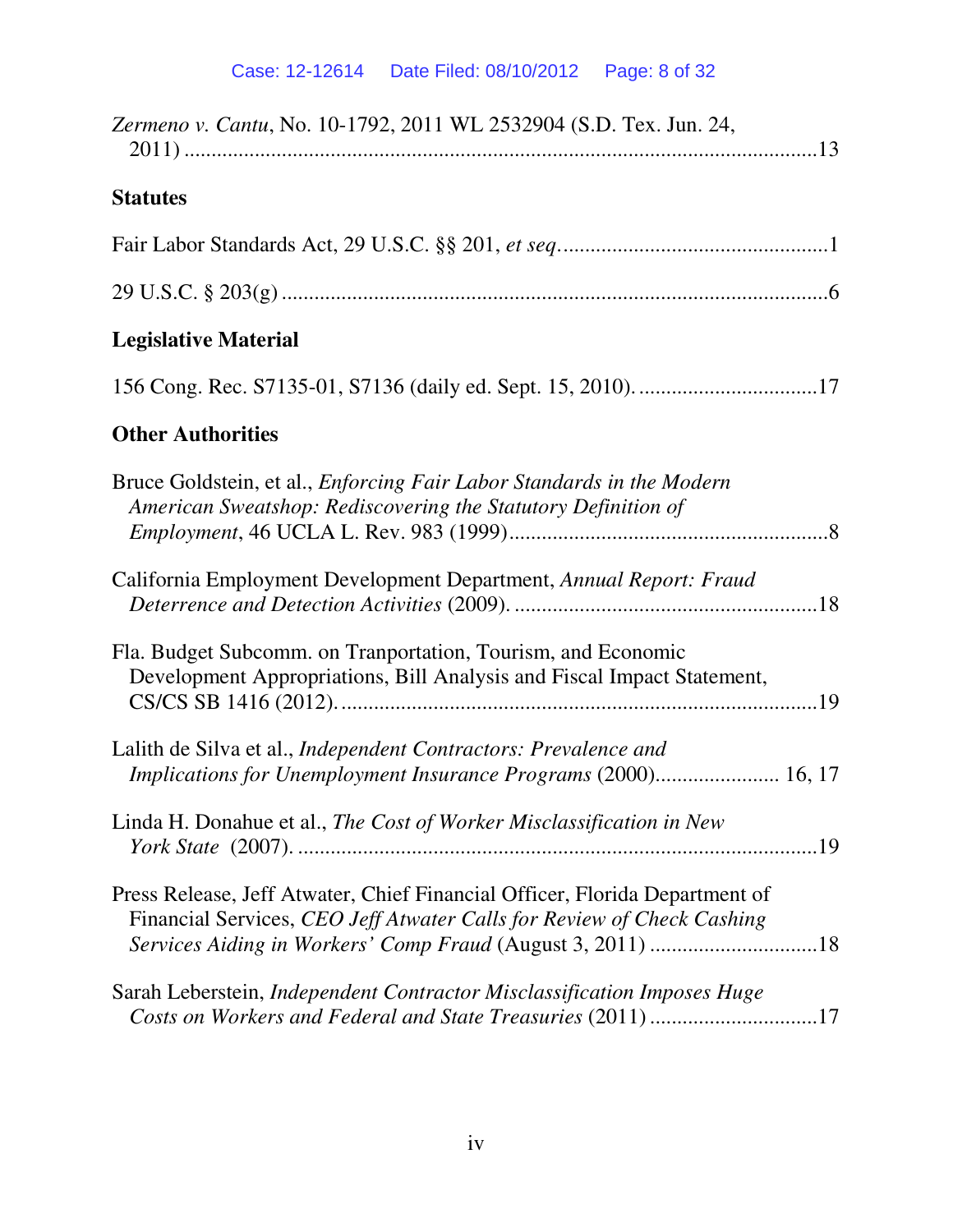| Zermeno v. Cantu, No. 10-1792, 2011 WL 2532904 (S.D. Tex. Jun. 24,                                                                                                                                                  |
|---------------------------------------------------------------------------------------------------------------------------------------------------------------------------------------------------------------------|
| <b>Statutes</b>                                                                                                                                                                                                     |
|                                                                                                                                                                                                                     |
|                                                                                                                                                                                                                     |
| <b>Legislative Material</b>                                                                                                                                                                                         |
|                                                                                                                                                                                                                     |
| <b>Other Authorities</b>                                                                                                                                                                                            |
| Bruce Goldstein, et al., <i>Enforcing Fair Labor Standards in the Modern</i><br>American Sweatshop: Rediscovering the Statutory Definition of                                                                       |
| California Employment Development Department, Annual Report: Fraud                                                                                                                                                  |
| Fla. Budget Subcomm. on Tranportation, Tourism, and Economic<br>Development Appropriations, Bill Analysis and Fiscal Impact Statement,                                                                              |
| Lalith de Silva et al., Independent Contractors: Prevalence and<br>Implications for Unemployment Insurance Programs (2000) 16, 17                                                                                   |
| Linda H. Donahue et al., The Cost of Worker Misclassification in New                                                                                                                                                |
| Press Release, Jeff Atwater, Chief Financial Officer, Florida Department of<br>Financial Services, CEO Jeff Atwater Calls for Review of Check Cashing<br>Services Aiding in Workers' Comp Fraud (August 3, 2011) 18 |
| Sarah Leberstein, Independent Contractor Misclassification Imposes Huge<br>Costs on Workers and Federal and State Treasuries (2011) 17                                                                              |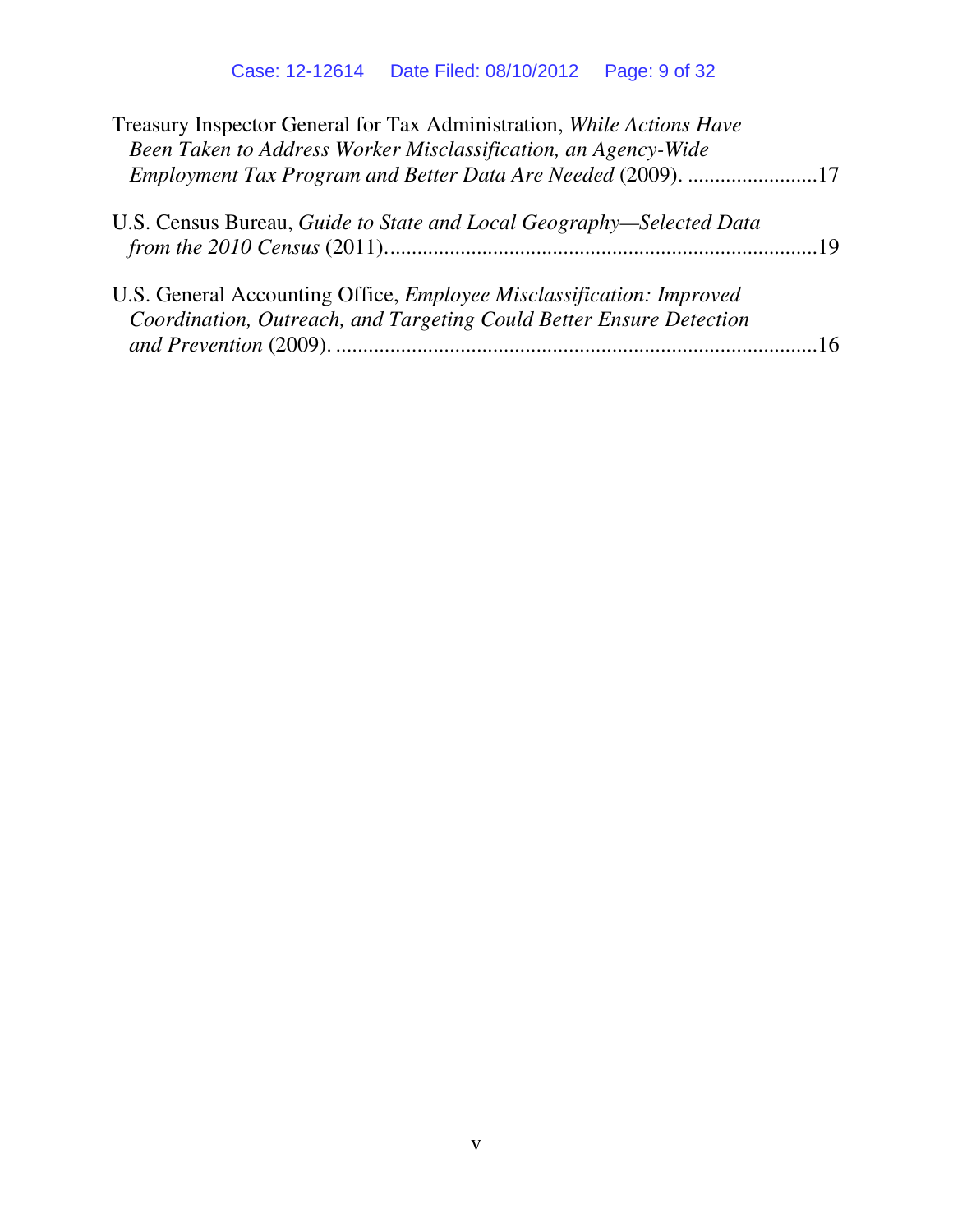| Treasury Inspector General for Tax Administration, While Actions Have<br>Been Taken to Address Worker Misclassification, an Agency-Wide     |  |
|---------------------------------------------------------------------------------------------------------------------------------------------|--|
| Employment Tax Program and Better Data Are Needed (2009). 17                                                                                |  |
| U.S. Census Bureau, Guide to State and Local Geography-Selected Data                                                                        |  |
| U.S. General Accounting Office, Employee Misclassification: Improved<br>Coordination, Outreach, and Targeting Could Better Ensure Detection |  |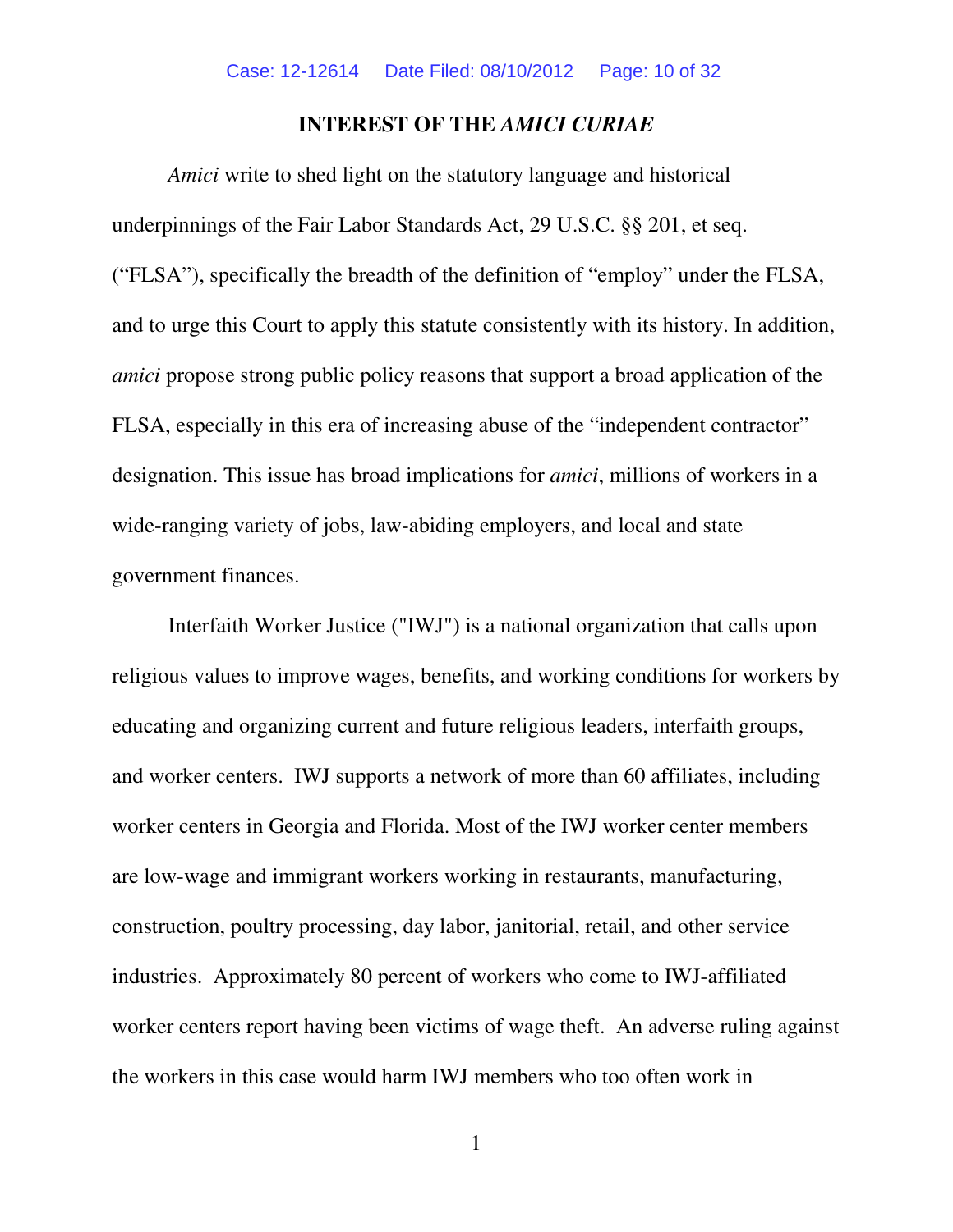#### **INTEREST OF THE** *AMICI CURIAE*

*Amici* write to shed light on the statutory language and historical underpinnings of the Fair Labor Standards Act, 29 U.S.C. §§ 201, et seq. ("FLSA"), specifically the breadth of the definition of "employ" under the FLSA, and to urge this Court to apply this statute consistently with its history. In addition, *amici* propose strong public policy reasons that support a broad application of the FLSA, especially in this era of increasing abuse of the "independent contractor" designation. This issue has broad implications for *amici*, millions of workers in a wide-ranging variety of jobs, law-abiding employers, and local and state government finances.

Interfaith Worker Justice ("IWJ") is a national organization that calls upon religious values to improve wages, benefits, and working conditions for workers by educating and organizing current and future religious leaders, interfaith groups, and worker centers. IWJ supports a network of more than 60 affiliates, including worker centers in Georgia and Florida. Most of the IWJ worker center members are low-wage and immigrant workers working in restaurants, manufacturing, construction, poultry processing, day labor, janitorial, retail, and other service industries. Approximately 80 percent of workers who come to IWJ-affiliated worker centers report having been victims of wage theft. An adverse ruling against the workers in this case would harm IWJ members who too often work in

1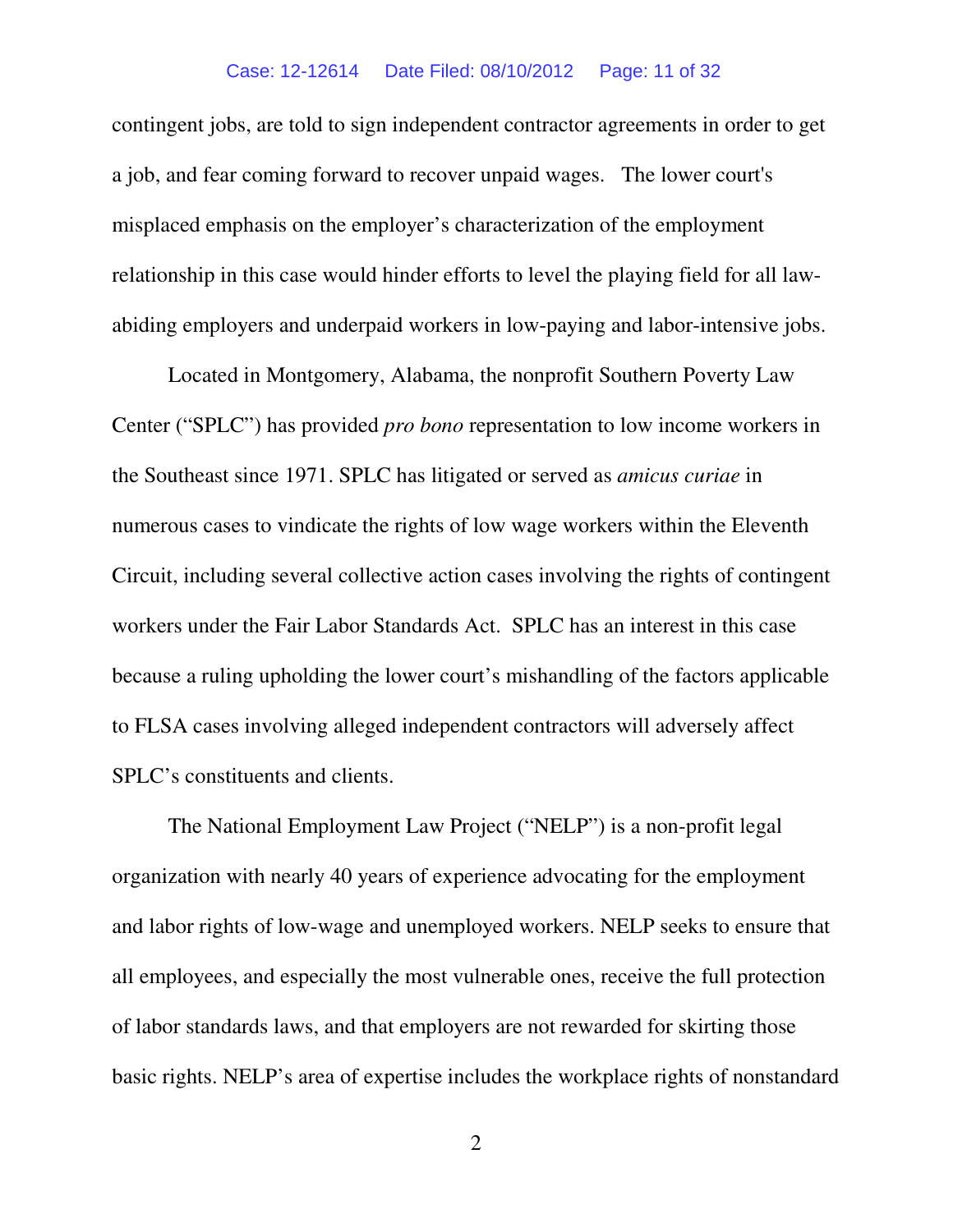#### Case: 12-12614 Date Filed: 08/10/2012 Page: 11 of 32

contingent jobs, are told to sign independent contractor agreements in order to get a job, and fear coming forward to recover unpaid wages. The lower court's misplaced emphasis on the employer's characterization of the employment relationship in this case would hinder efforts to level the playing field for all lawabiding employers and underpaid workers in low-paying and labor-intensive jobs.

Located in Montgomery, Alabama, the nonprofit Southern Poverty Law Center ("SPLC") has provided *pro bono* representation to low income workers in the Southeast since 1971. SPLC has litigated or served as *amicus curiae* in numerous cases to vindicate the rights of low wage workers within the Eleventh Circuit, including several collective action cases involving the rights of contingent workers under the Fair Labor Standards Act. SPLC has an interest in this case because a ruling upholding the lower court's mishandling of the factors applicable to FLSA cases involving alleged independent contractors will adversely affect SPLC's constituents and clients.

The National Employment Law Project ("NELP") is a non-profit legal organization with nearly 40 years of experience advocating for the employment and labor rights of low-wage and unemployed workers. NELP seeks to ensure that all employees, and especially the most vulnerable ones, receive the full protection of labor standards laws, and that employers are not rewarded for skirting those basic rights. NELP's area of expertise includes the workplace rights of nonstandard

2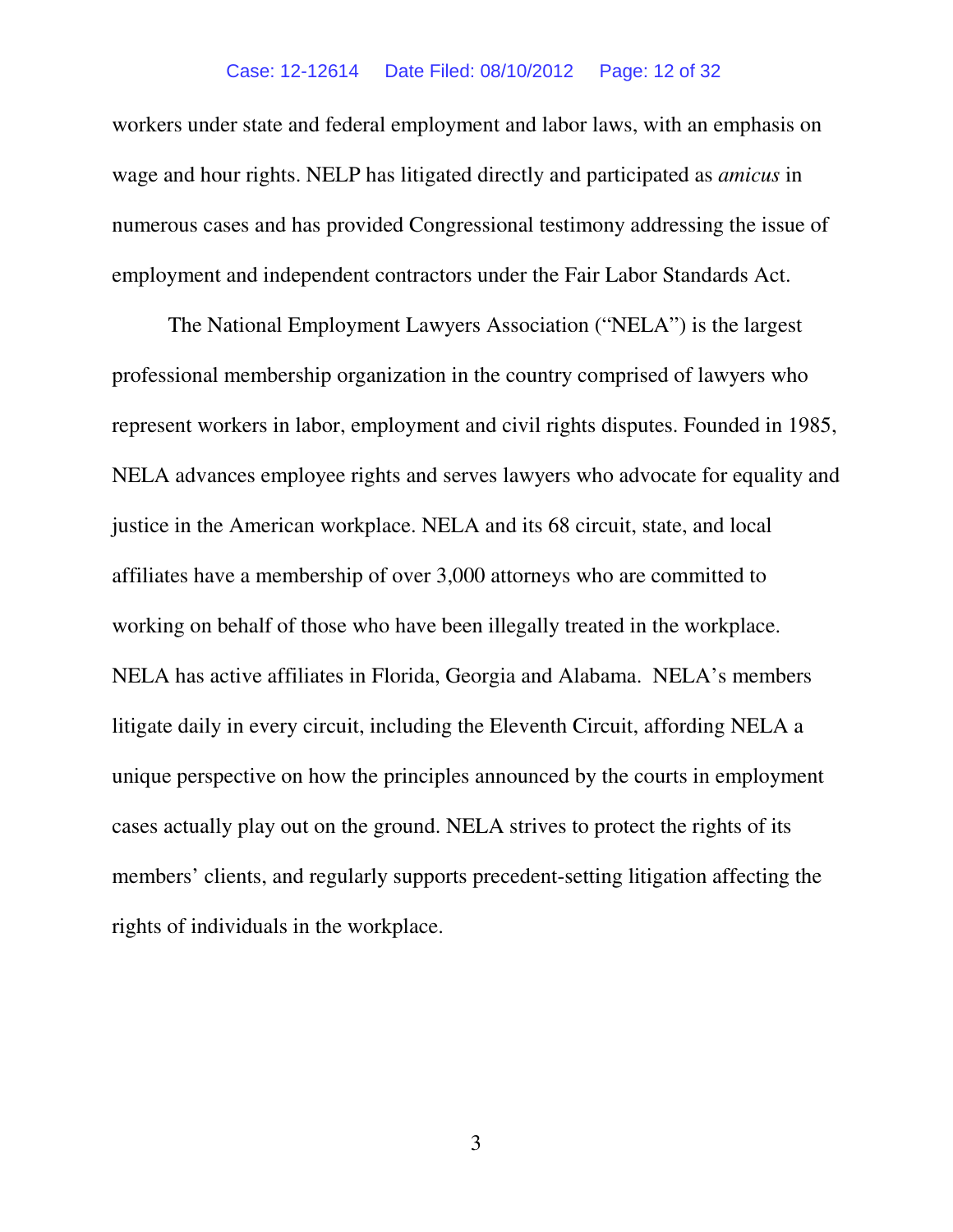#### Case: 12-12614 Date Filed: 08/10/2012 Page: 12 of 32

workers under state and federal employment and labor laws, with an emphasis on wage and hour rights. NELP has litigated directly and participated as *amicus* in numerous cases and has provided Congressional testimony addressing the issue of employment and independent contractors under the Fair Labor Standards Act.

The National Employment Lawyers Association ("NELA") is the largest professional membership organization in the country comprised of lawyers who represent workers in labor, employment and civil rights disputes. Founded in 1985, NELA advances employee rights and serves lawyers who advocate for equality and justice in the American workplace. NELA and its 68 circuit, state, and local affiliates have a membership of over 3,000 attorneys who are committed to working on behalf of those who have been illegally treated in the workplace. NELA has active affiliates in Florida, Georgia and Alabama. NELA's members litigate daily in every circuit, including the Eleventh Circuit, affording NELA a unique perspective on how the principles announced by the courts in employment cases actually play out on the ground. NELA strives to protect the rights of its members' clients, and regularly supports precedent-setting litigation affecting the rights of individuals in the workplace.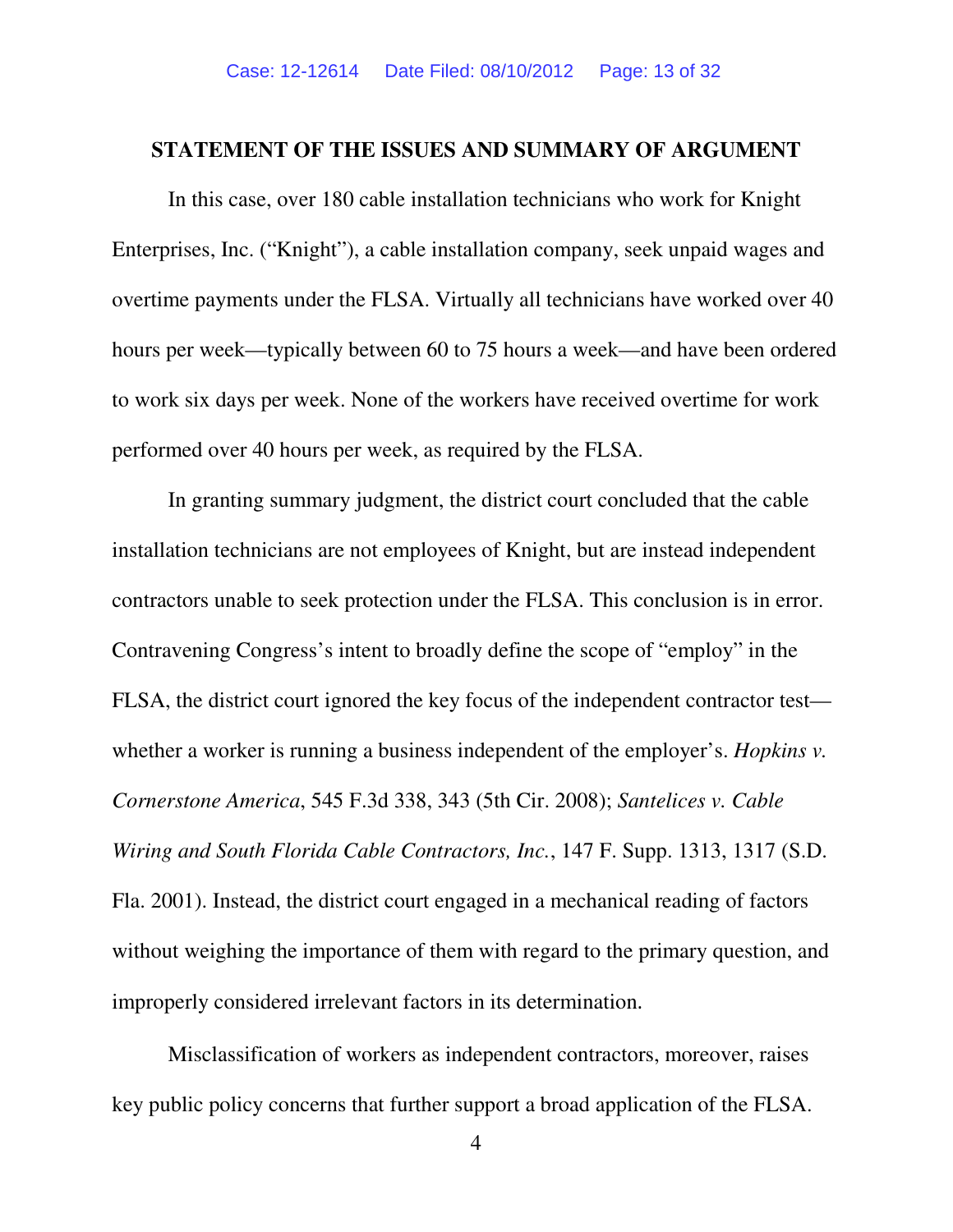#### **STATEMENT OF THE ISSUES AND SUMMARY OF ARGUMENT**

In this case, over 180 cable installation technicians who work for Knight Enterprises, Inc. ("Knight"), a cable installation company, seek unpaid wages and overtime payments under the FLSA. Virtually all technicians have worked over 40 hours per week—typically between 60 to 75 hours a week—and have been ordered to work six days per week. None of the workers have received overtime for work performed over 40 hours per week, as required by the FLSA.

In granting summary judgment, the district court concluded that the cable installation technicians are not employees of Knight, but are instead independent contractors unable to seek protection under the FLSA. This conclusion is in error. Contravening Congress's intent to broadly define the scope of "employ" in the FLSA, the district court ignored the key focus of the independent contractor test whether a worker is running a business independent of the employer's. *Hopkins v*. *Cornerstone America*, 545 F.3d 338, 343 (5th Cir. 2008); *Santelices v. Cable Wiring and South Florida Cable Contractors, Inc.*, 147 F. Supp. 1313, 1317 (S.D. Fla. 2001). Instead, the district court engaged in a mechanical reading of factors without weighing the importance of them with regard to the primary question, and improperly considered irrelevant factors in its determination.

Misclassification of workers as independent contractors, moreover, raises key public policy concerns that further support a broad application of the FLSA.

4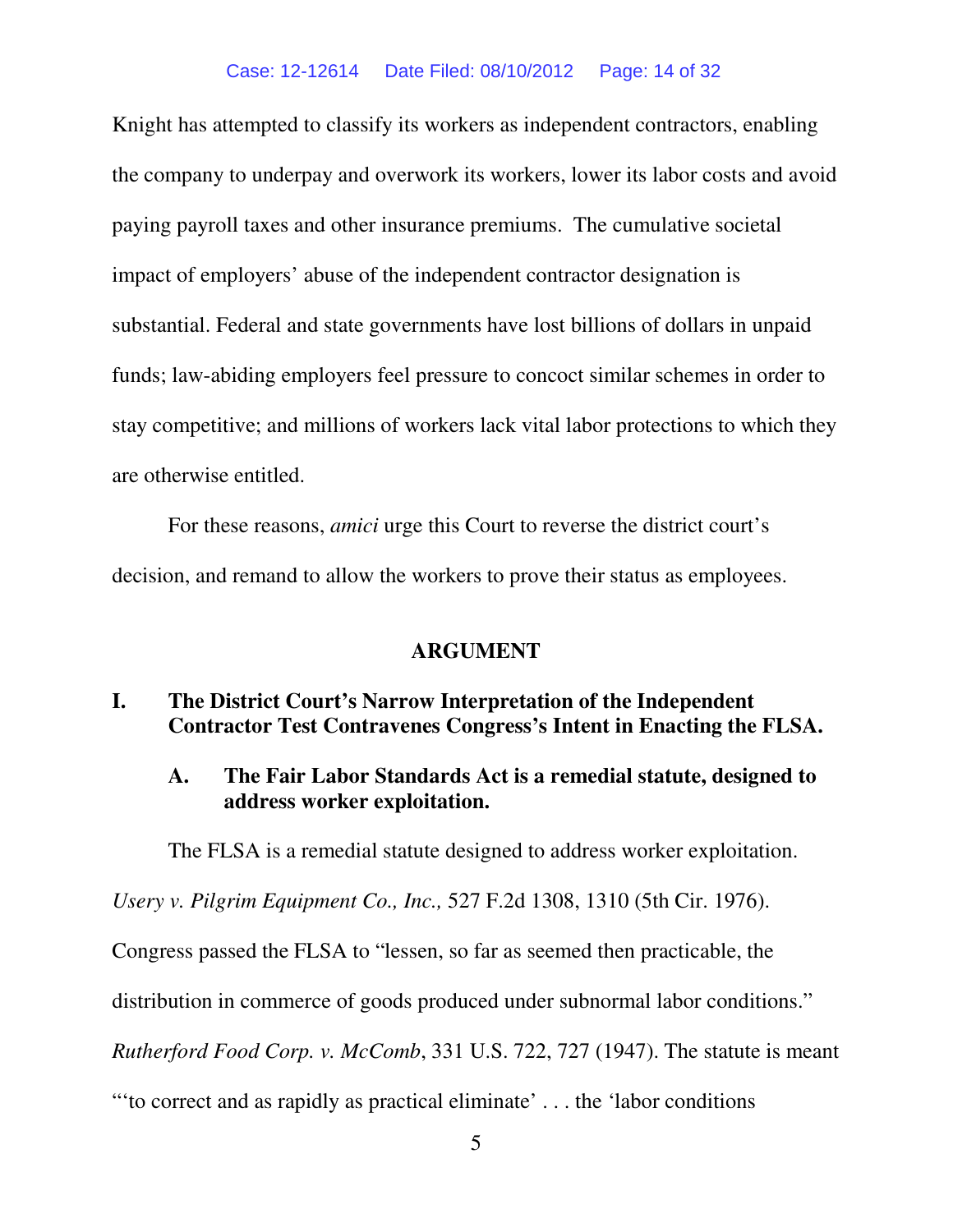Knight has attempted to classify its workers as independent contractors, enabling the company to underpay and overwork its workers, lower its labor costs and avoid paying payroll taxes and other insurance premiums. The cumulative societal impact of employers' abuse of the independent contractor designation is substantial. Federal and state governments have lost billions of dollars in unpaid funds; law-abiding employers feel pressure to concoct similar schemes in order to stay competitive; and millions of workers lack vital labor protections to which they are otherwise entitled.

For these reasons, *amici* urge this Court to reverse the district court's decision, and remand to allow the workers to prove their status as employees.

#### **ARGUMENT**

### **I. The District Court's Narrow Interpretation of the Independent Contractor Test Contravenes Congress's Intent in Enacting the FLSA.**

# **A. The Fair Labor Standards Act is a remedial statute, designed to address worker exploitation.**

The FLSA is a remedial statute designed to address worker exploitation.

*Usery v. Pilgrim Equipment Co., Inc.,* 527 F.2d 1308, 1310 (5th Cir. 1976).

Congress passed the FLSA to "lessen, so far as seemed then practicable, the

distribution in commerce of goods produced under subnormal labor conditions."

*Rutherford Food Corp. v. McComb*, 331 U.S. 722, 727 (1947). The statute is meant

"'to correct and as rapidly as practical eliminate' . . . the 'labor conditions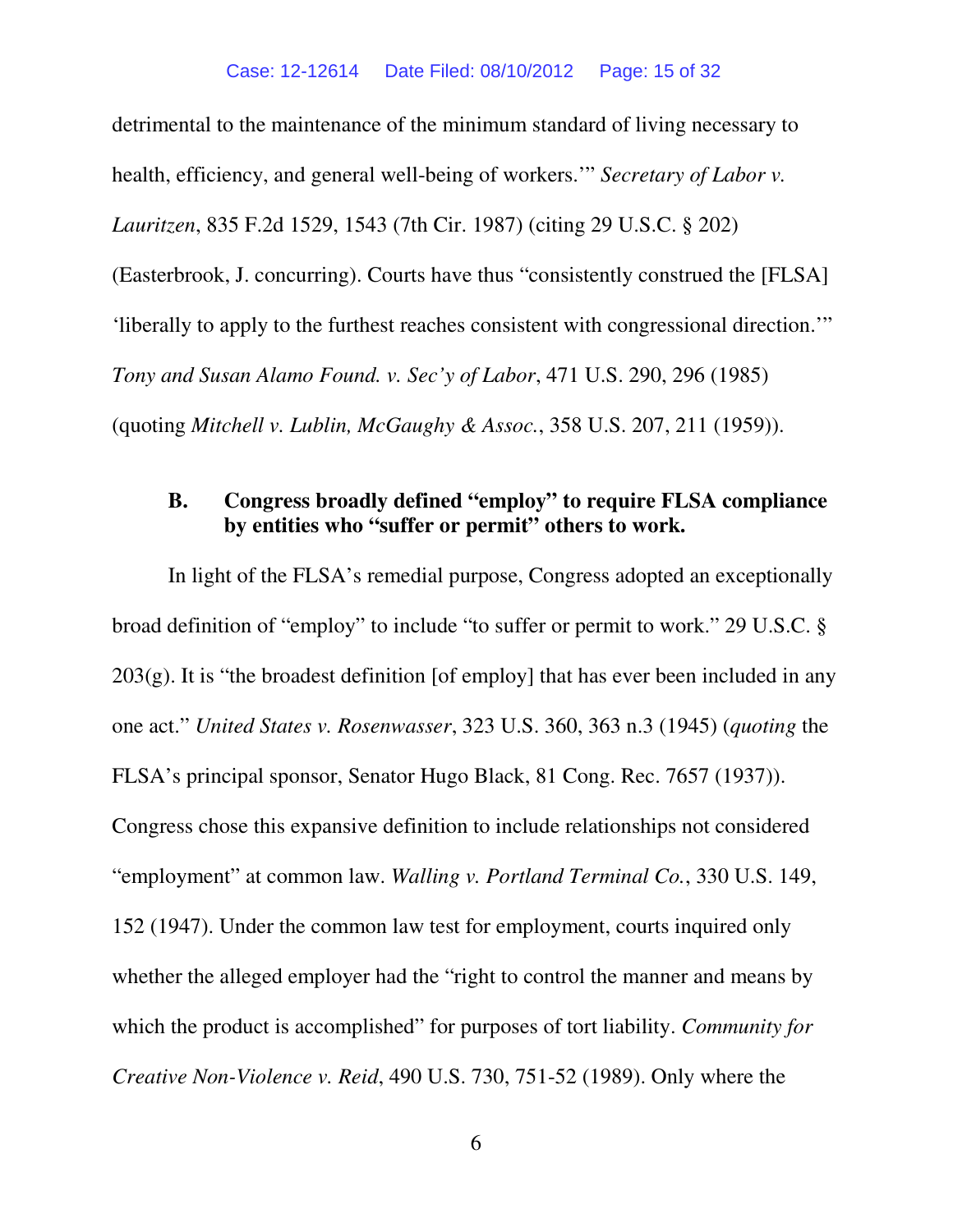detrimental to the maintenance of the minimum standard of living necessary to health, efficiency, and general well-being of workers.'" *Secretary of Labor v. Lauritzen*, 835 F.2d 1529, 1543 (7th Cir. 1987) (citing 29 U.S.C. § 202) (Easterbrook, J. concurring). Courts have thus "consistently construed the [FLSA] 'liberally to apply to the furthest reaches consistent with congressional direction.'" *Tony and Susan Alamo Found. v. Sec'y of Labor*, 471 U.S. 290, 296 (1985) (quoting *Mitchell v. Lublin, McGaughy & Assoc.*, 358 U.S. 207, 211 (1959)).

# **B. Congress broadly defined "employ" to require FLSA compliance by entities who "suffer or permit" others to work.**

In light of the FLSA's remedial purpose, Congress adopted an exceptionally broad definition of "employ" to include "to suffer or permit to work." 29 U.S.C. §  $203(g)$ . It is "the broadest definition [of employ] that has ever been included in any one act." *United States v. Rosenwasser*, 323 U.S. 360, 363 n.3 (1945) (*quoting* the FLSA's principal sponsor, Senator Hugo Black, 81 Cong. Rec. 7657 (1937)). Congress chose this expansive definition to include relationships not considered "employment" at common law. *Walling v. Portland Terminal Co.*, 330 U.S. 149, 152 (1947). Under the common law test for employment, courts inquired only whether the alleged employer had the "right to control the manner and means by which the product is accomplished" for purposes of tort liability. *Community for Creative Non-Violence v. Reid*, 490 U.S. 730, 751-52 (1989). Only where the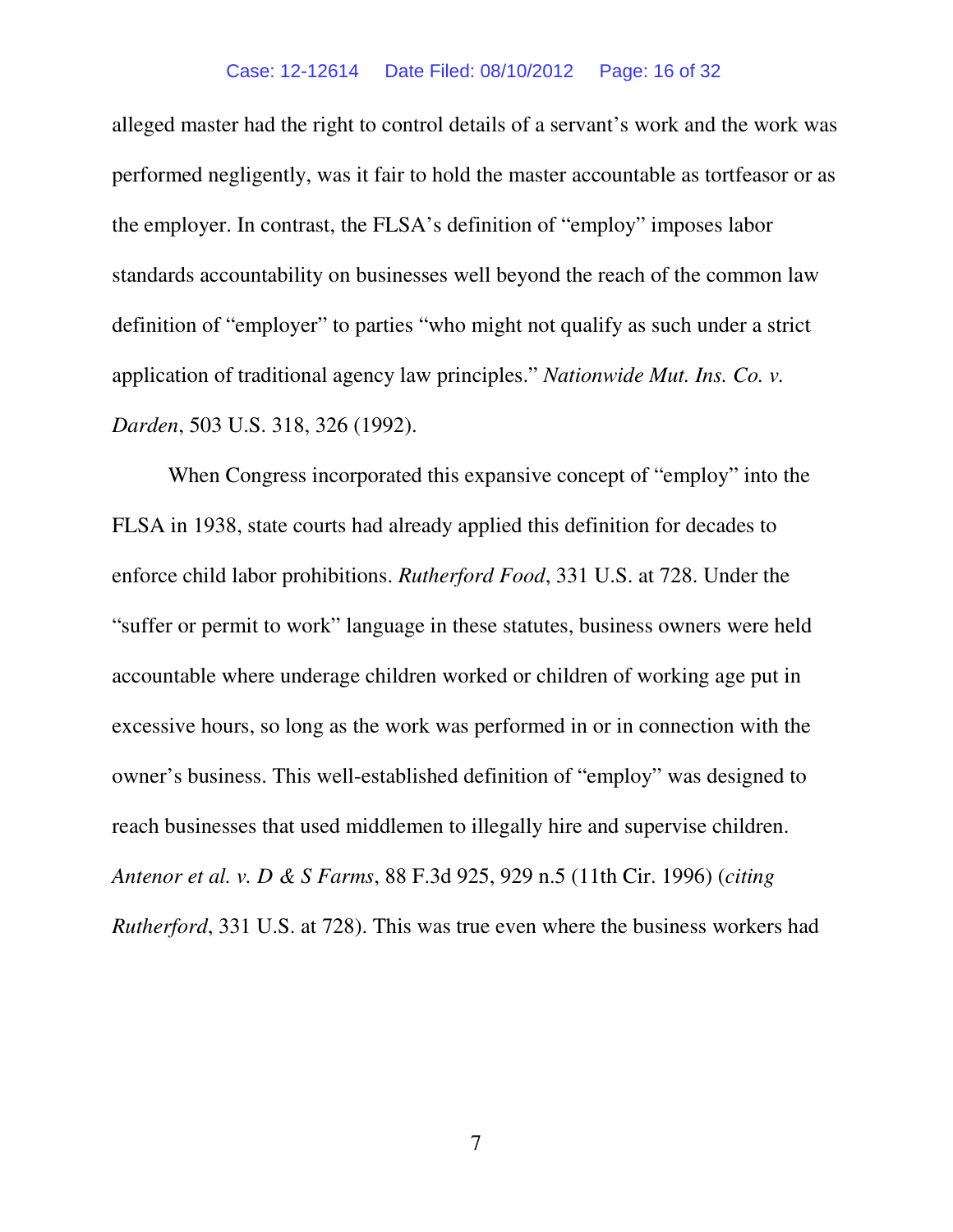#### Case: 12-12614 Date Filed: 08/10/2012 Page: 16 of 32

alleged master had the right to control details of a servant's work and the work was performed negligently, was it fair to hold the master accountable as tortfeasor or as the employer. In contrast, the FLSA's definition of "employ" imposes labor standards accountability on businesses well beyond the reach of the common law definition of "employer" to parties "who might not qualify as such under a strict application of traditional agency law principles." *Nationwide Mut. Ins. Co. v. Darden*, 503 U.S. 318, 326 (1992).

When Congress incorporated this expansive concept of "employ" into the FLSA in 1938, state courts had already applied this definition for decades to enforce child labor prohibitions. *Rutherford Food*, 331 U.S. at 728. Under the "suffer or permit to work" language in these statutes, business owners were held accountable where underage children worked or children of working age put in excessive hours, so long as the work was performed in or in connection with the owner's business. This well-established definition of "employ" was designed to reach businesses that used middlemen to illegally hire and supervise children. *Antenor et al. v. D & S Farms*, 88 F.3d 925, 929 n.5 (11th Cir. 1996) (*citing Rutherford*, 331 U.S. at 728). This was true even where the business workers had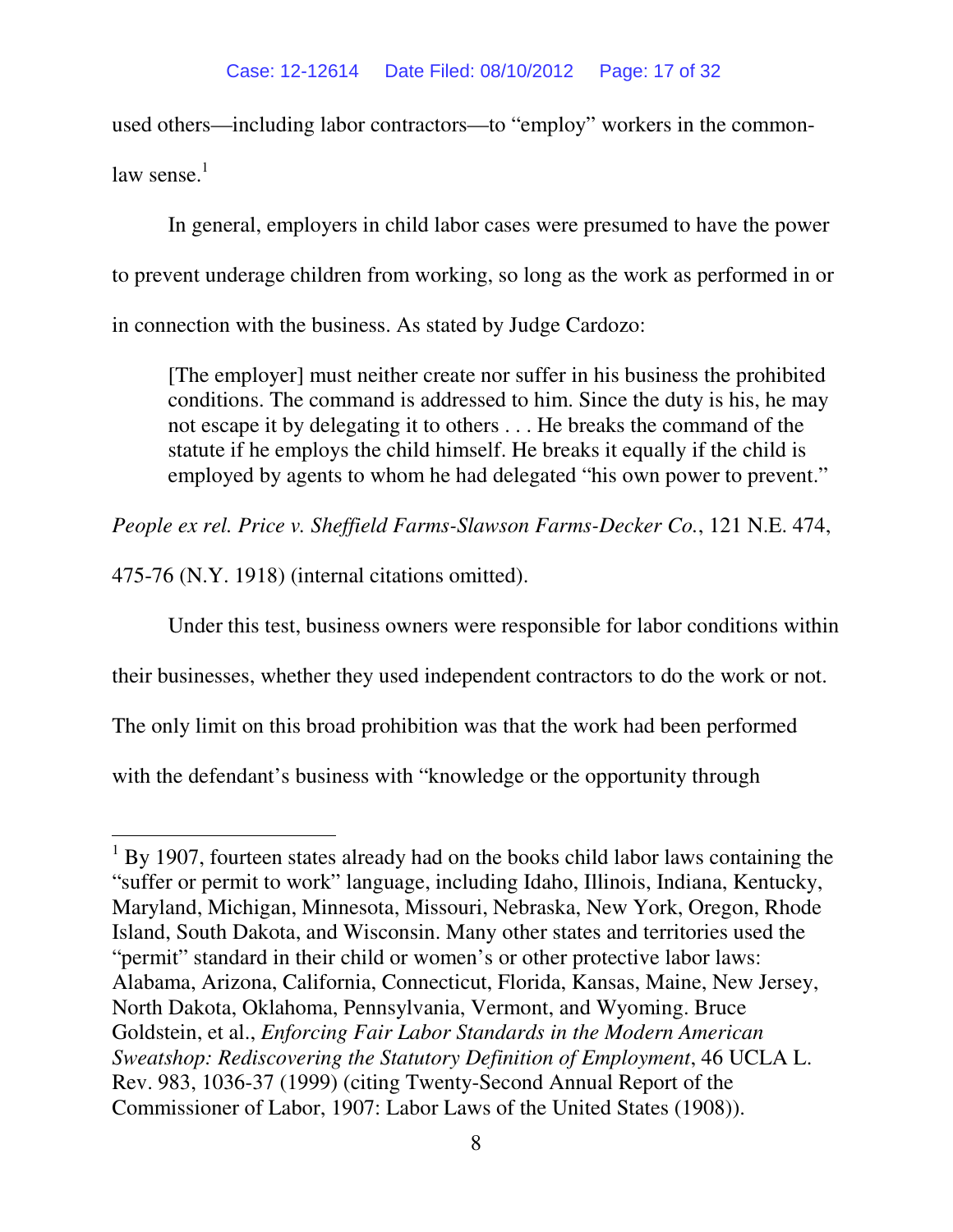used others—including labor contractors—to "employ" workers in the commonlaw sense $<sup>1</sup>$ </sup>

In general, employers in child labor cases were presumed to have the power to prevent underage children from working, so long as the work as performed in or in connection with the business. As stated by Judge Cardozo:

[The employer] must neither create nor suffer in his business the prohibited conditions. The command is addressed to him. Since the duty is his, he may not escape it by delegating it to others . . . He breaks the command of the statute if he employs the child himself. He breaks it equally if the child is employed by agents to whom he had delegated "his own power to prevent."

*People ex rel. Price v. Sheffield Farms-Slawson Farms-Decker Co.*, 121 N.E. 474,

475-76 (N.Y. 1918) (internal citations omitted).

 $\overline{a}$ 

Under this test, business owners were responsible for labor conditions within

their businesses, whether they used independent contractors to do the work or not.

The only limit on this broad prohibition was that the work had been performed

with the defendant's business with "knowledge or the opportunity through

<sup>&</sup>lt;sup>1</sup> By 1907, fourteen states already had on the books child labor laws containing the "suffer or permit to work" language, including Idaho, Illinois, Indiana, Kentucky, Maryland, Michigan, Minnesota, Missouri, Nebraska, New York, Oregon, Rhode Island, South Dakota, and Wisconsin. Many other states and territories used the "permit" standard in their child or women's or other protective labor laws: Alabama, Arizona, California, Connecticut, Florida, Kansas, Maine, New Jersey, North Dakota, Oklahoma, Pennsylvania, Vermont, and Wyoming. Bruce Goldstein, et al., *Enforcing Fair Labor Standards in the Modern American Sweatshop: Rediscovering the Statutory Definition of Employment*, 46 UCLA L. Rev. 983, 1036-37 (1999) (citing Twenty-Second Annual Report of the Commissioner of Labor, 1907: Labor Laws of the United States (1908)).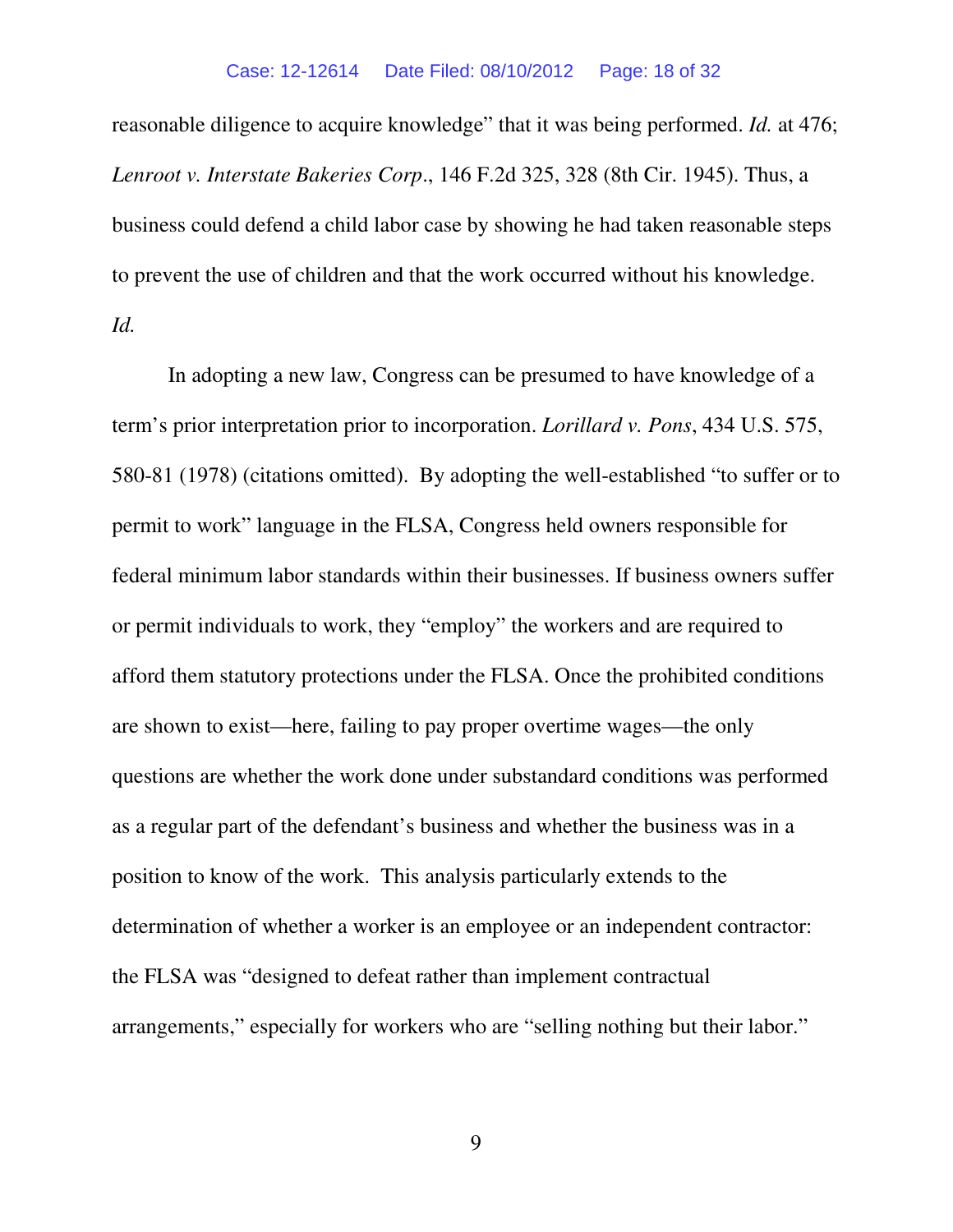#### Case: 12-12614 Date Filed: 08/10/2012 Page: 18 of 32

reasonable diligence to acquire knowledge" that it was being performed. *Id.* at 476; *Lenroot v. Interstate Bakeries Corp*., 146 F.2d 325, 328 (8th Cir. 1945). Thus, a business could defend a child labor case by showing he had taken reasonable steps to prevent the use of children and that the work occurred without his knowledge. *Id.* 

In adopting a new law, Congress can be presumed to have knowledge of a term's prior interpretation prior to incorporation. *Lorillard v. Pons*, 434 U.S. 575, 580-81 (1978) (citations omitted). By adopting the well-established "to suffer or to permit to work" language in the FLSA, Congress held owners responsible for federal minimum labor standards within their businesses. If business owners suffer or permit individuals to work, they "employ" the workers and are required to afford them statutory protections under the FLSA. Once the prohibited conditions are shown to exist—here, failing to pay proper overtime wages—the only questions are whether the work done under substandard conditions was performed as a regular part of the defendant's business and whether the business was in a position to know of the work. This analysis particularly extends to the determination of whether a worker is an employee or an independent contractor: the FLSA was "designed to defeat rather than implement contractual arrangements," especially for workers who are "selling nothing but their labor."

9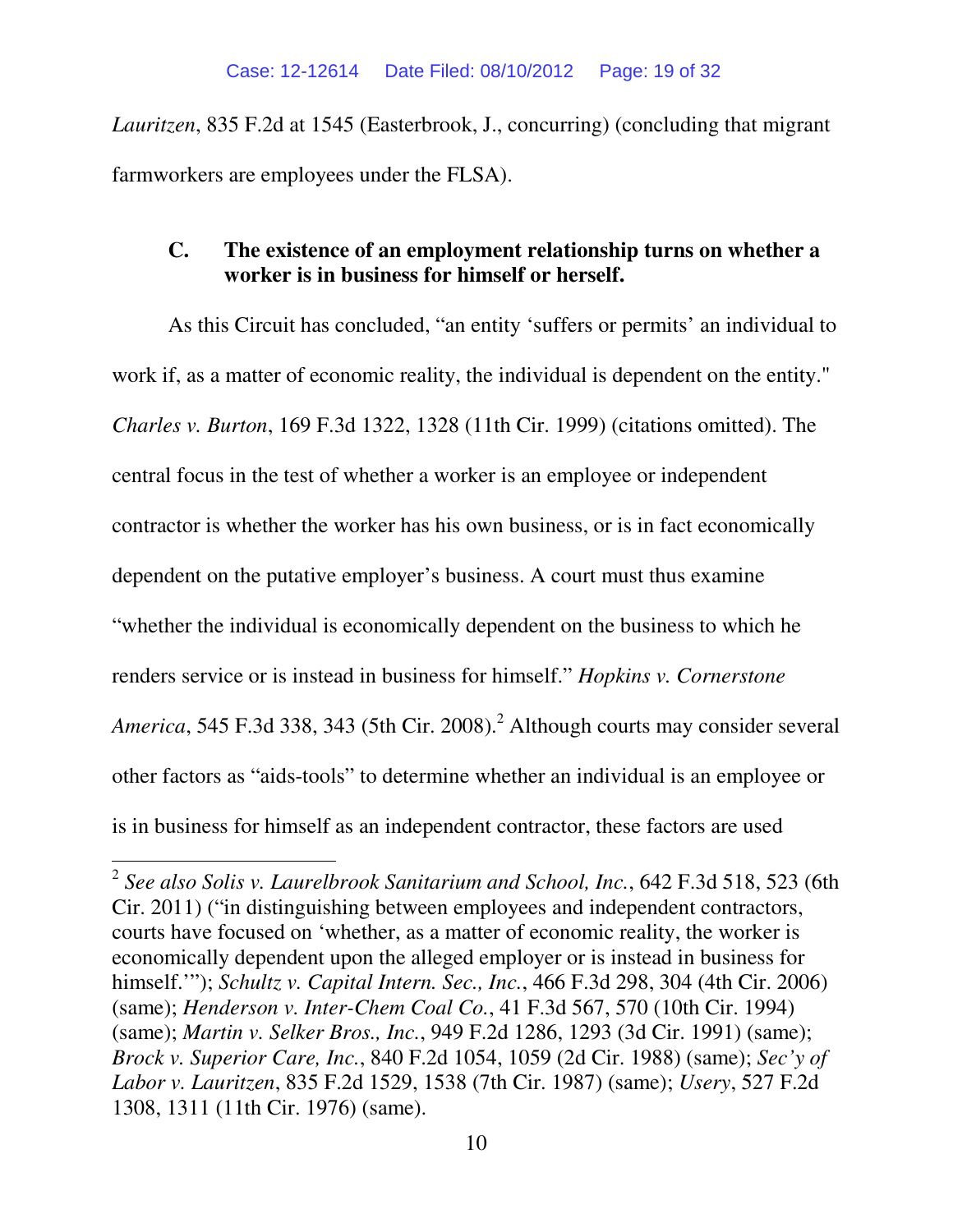*Lauritzen*, 835 F.2d at 1545 (Easterbrook, J., concurring) (concluding that migrant farmworkers are employees under the FLSA).

# **C. The existence of an employment relationship turns on whether a worker is in business for himself or herself.**

As this Circuit has concluded, "an entity 'suffers or permits' an individual to work if, as a matter of economic reality, the individual is dependent on the entity." *Charles v. Burton*, 169 F.3d 1322, 1328 (11th Cir. 1999) (citations omitted). The central focus in the test of whether a worker is an employee or independent contractor is whether the worker has his own business, or is in fact economically dependent on the putative employer's business. A court must thus examine "whether the individual is economically dependent on the business to which he renders service or is instead in business for himself." *Hopkins v. Cornerstone*  America, 545 F.3d 338, 343 (5th Cir. 2008).<sup>2</sup> Although courts may consider several other factors as "aids-tools" to determine whether an individual is an employee or is in business for himself as an independent contractor, these factors are used

 $\overline{a}$ 

<sup>2</sup> *See also Solis v. Laurelbrook Sanitarium and School, Inc.*, 642 F.3d 518, 523 (6th Cir. 2011) ("in distinguishing between employees and independent contractors, courts have focused on 'whether, as a matter of economic reality, the worker is economically dependent upon the alleged employer or is instead in business for himself.'"); *Schultz v. Capital Intern. Sec., Inc.*, 466 F.3d 298, 304 (4th Cir. 2006) (same); *Henderson v. Inter-Chem Coal Co.*, 41 F.3d 567, 570 (10th Cir. 1994) (same); *Martin v. Selker Bros., Inc.*, 949 F.2d 1286, 1293 (3d Cir. 1991) (same); *Brock v. Superior Care, Inc.*, 840 F.2d 1054, 1059 (2d Cir. 1988) (same); *Sec'y of Labor v. Lauritzen*, 835 F.2d 1529, 1538 (7th Cir. 1987) (same); *Usery*, 527 F.2d 1308, 1311 (11th Cir. 1976) (same).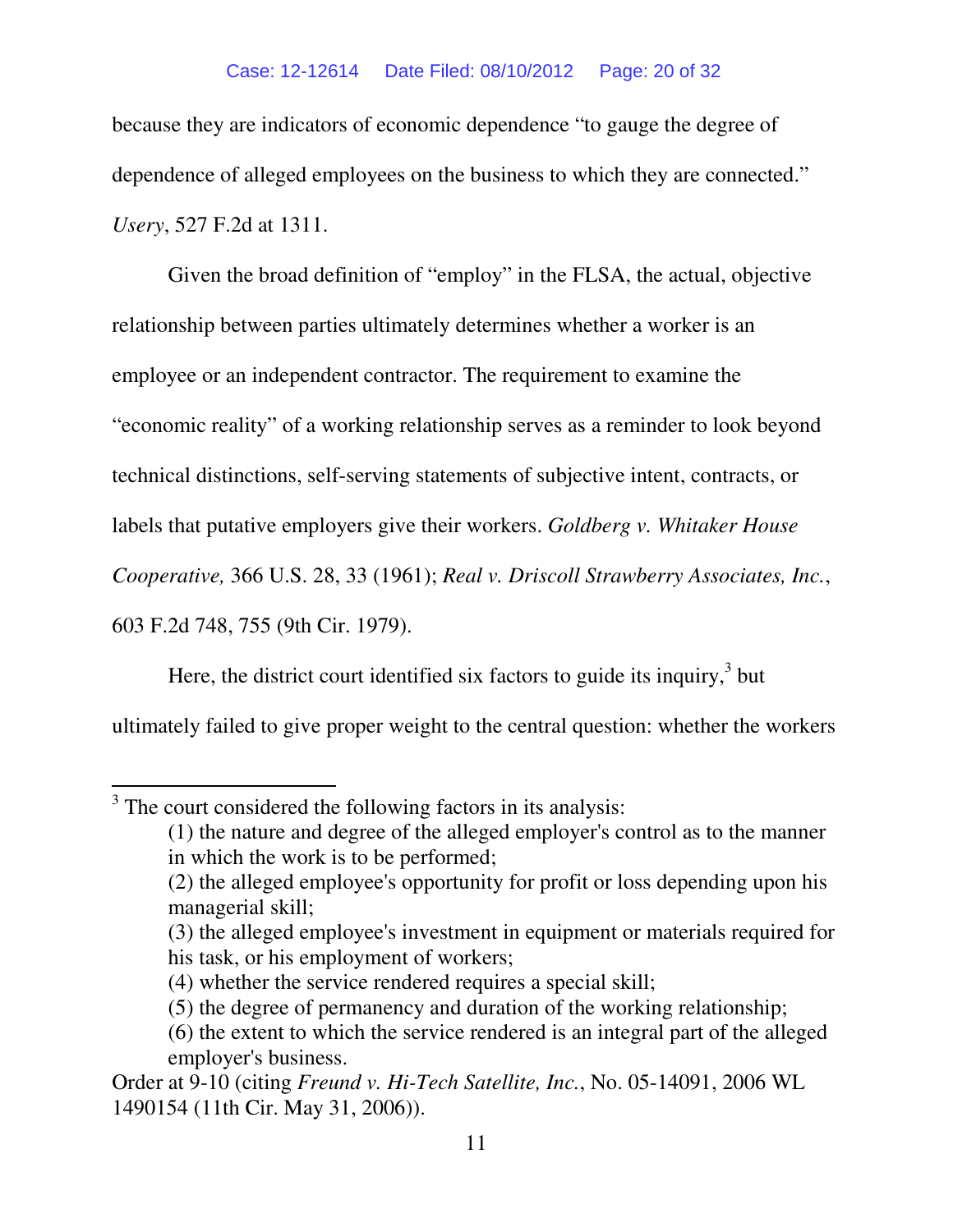because they are indicators of economic dependence "to gauge the degree of dependence of alleged employees on the business to which they are connected." *Usery*, 527 F.2d at 1311.

Given the broad definition of "employ" in the FLSA, the actual, objective relationship between parties ultimately determines whether a worker is an employee or an independent contractor. The requirement to examine the "economic reality" of a working relationship serves as a reminder to look beyond technical distinctions, self-serving statements of subjective intent, contracts, or labels that putative employers give their workers. *Goldberg v. Whitaker House Cooperative,* 366 U.S. 28, 33 (1961); *Real v. Driscoll Strawberry Associates, Inc.*, 603 F.2d 748, 755 (9th Cir. 1979).

Here, the district court identified six factors to guide its inquiry, $3$  but ultimately failed to give proper weight to the central question: whether the workers

l

 $3$  The court considered the following factors in its analysis:

<sup>(1)</sup> the nature and degree of the alleged employer's control as to the manner in which the work is to be performed;

<sup>(2)</sup> the alleged employee's opportunity for profit or loss depending upon his managerial skill;

<sup>(3)</sup> the alleged employee's investment in equipment or materials required for his task, or his employment of workers;

<sup>(4)</sup> whether the service rendered requires a special skill;

<sup>(5)</sup> the degree of permanency and duration of the working relationship;

<sup>(6)</sup> the extent to which the service rendered is an integral part of the alleged employer's business.

Order at 9-10 (citing *Freund v. Hi-Tech Satellite, Inc.*, No. 05-14091, 2006 WL 1490154 (11th Cir. May 31, 2006)).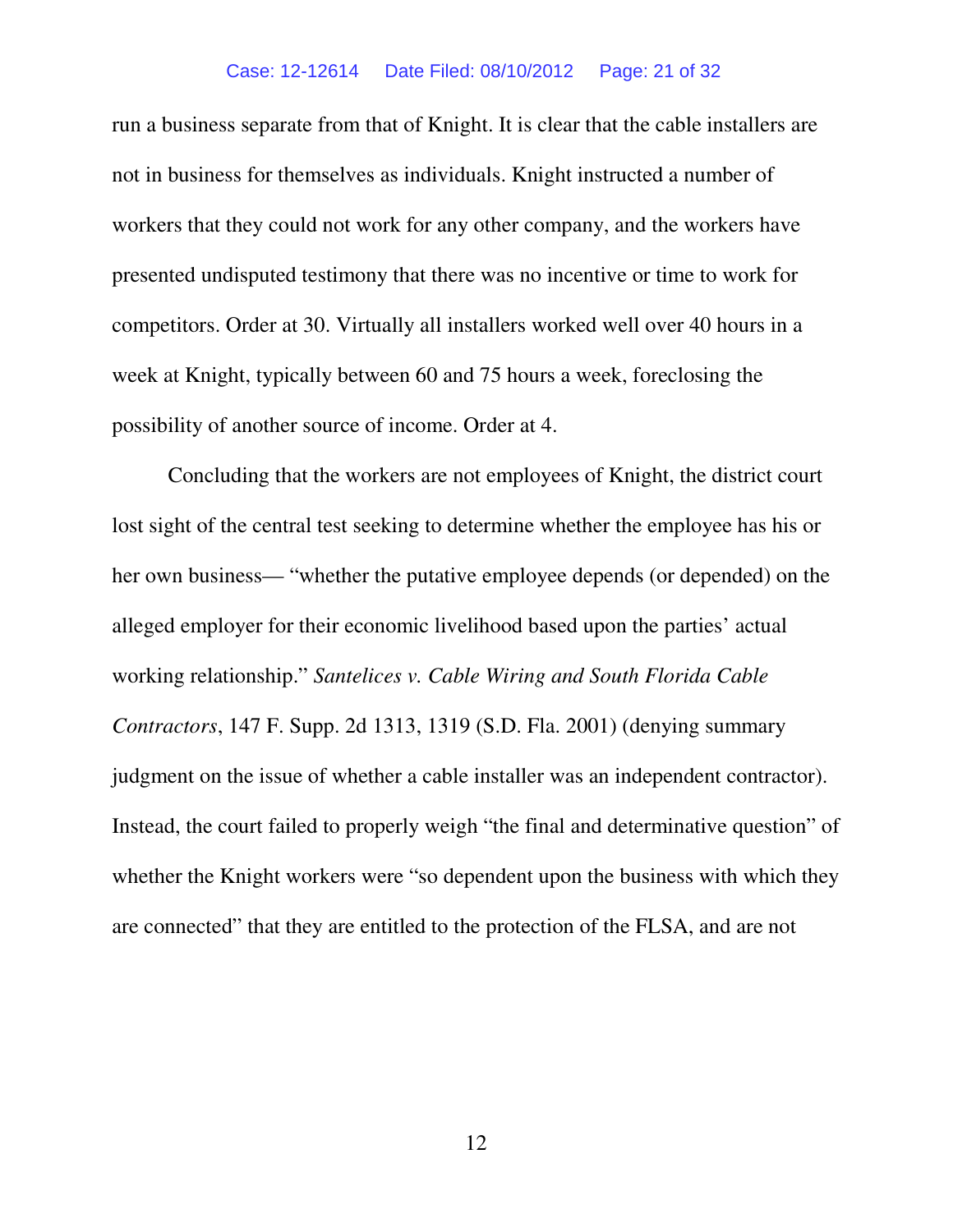#### Case: 12-12614 Date Filed: 08/10/2012 Page: 21 of 32

run a business separate from that of Knight. It is clear that the cable installers are not in business for themselves as individuals. Knight instructed a number of workers that they could not work for any other company, and the workers have presented undisputed testimony that there was no incentive or time to work for competitors. Order at 30. Virtually all installers worked well over 40 hours in a week at Knight, typically between 60 and 75 hours a week, foreclosing the possibility of another source of income. Order at 4.

Concluding that the workers are not employees of Knight, the district court lost sight of the central test seeking to determine whether the employee has his or her own business— "whether the putative employee depends (or depended) on the alleged employer for their economic livelihood based upon the parties' actual working relationship." *Santelices v. Cable Wiring and South Florida Cable Contractors*, 147 F. Supp. 2d 1313, 1319 (S.D. Fla. 2001) (denying summary judgment on the issue of whether a cable installer was an independent contractor). Instead, the court failed to properly weigh "the final and determinative question" of whether the Knight workers were "so dependent upon the business with which they are connected" that they are entitled to the protection of the FLSA, and are not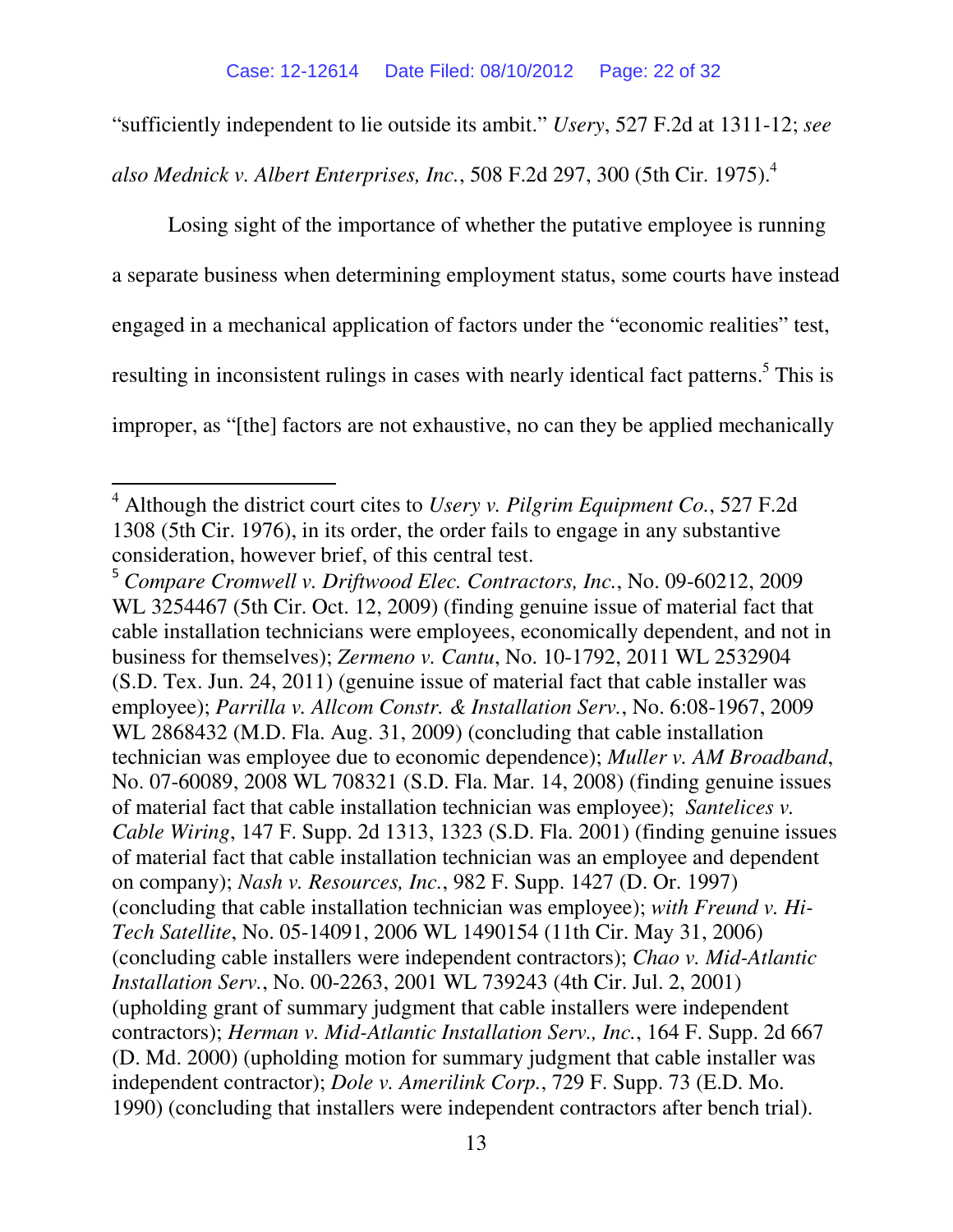"sufficiently independent to lie outside its ambit." *Usery*, 527 F.2d at 1311-12; *see* 

*also Mednick v. Albert Enterprises, Inc.*, 508 F.2d 297, 300 (5th Cir. 1975).<sup>4</sup>

Losing sight of the importance of whether the putative employee is running a separate business when determining employment status, some courts have instead engaged in a mechanical application of factors under the "economic realities" test, resulting in inconsistent rulings in cases with nearly identical fact patterns.<sup>5</sup> This is improper, as "[the] factors are not exhaustive, no can they be applied mechanically

l

<sup>4</sup> Although the district court cites to *Usery v. Pilgrim Equipment Co.*, 527 F.2d 1308 (5th Cir. 1976), in its order, the order fails to engage in any substantive consideration, however brief, of this central test.

<sup>5</sup> *Compare Cromwell v. Driftwood Elec. Contractors, Inc.*, No. 09-60212, 2009 WL 3254467 (5th Cir. Oct. 12, 2009) (finding genuine issue of material fact that cable installation technicians were employees, economically dependent, and not in business for themselves); *Zermeno v. Cantu*, No. 10-1792, 2011 WL 2532904 (S.D. Tex. Jun. 24, 2011) (genuine issue of material fact that cable installer was employee); *Parrilla v. Allcom Constr. & Installation Serv.*, No. 6:08-1967, 2009 WL 2868432 (M.D. Fla. Aug. 31, 2009) (concluding that cable installation technician was employee due to economic dependence); *Muller v. AM Broadband*, No. 07-60089, 2008 WL 708321 (S.D. Fla. Mar. 14, 2008) (finding genuine issues of material fact that cable installation technician was employee); *Santelices v. Cable Wiring*, 147 F. Supp. 2d 1313, 1323 (S.D. Fla. 2001) (finding genuine issues of material fact that cable installation technician was an employee and dependent on company); *Nash v. Resources, Inc.*, 982 F. Supp. 1427 (D. Or. 1997) (concluding that cable installation technician was employee); *with Freund v. Hi-Tech Satellite*, No. 05-14091, 2006 WL 1490154 (11th Cir. May 31, 2006) (concluding cable installers were independent contractors); *Chao v. Mid-Atlantic Installation Serv.*, No. 00-2263, 2001 WL 739243 (4th Cir. Jul. 2, 2001) (upholding grant of summary judgment that cable installers were independent contractors); *Herman v. Mid-Atlantic Installation Serv., Inc.*, 164 F. Supp. 2d 667 (D. Md. 2000) (upholding motion for summary judgment that cable installer was independent contractor); *Dole v. Amerilink Corp.*, 729 F. Supp. 73 (E.D. Mo. 1990) (concluding that installers were independent contractors after bench trial).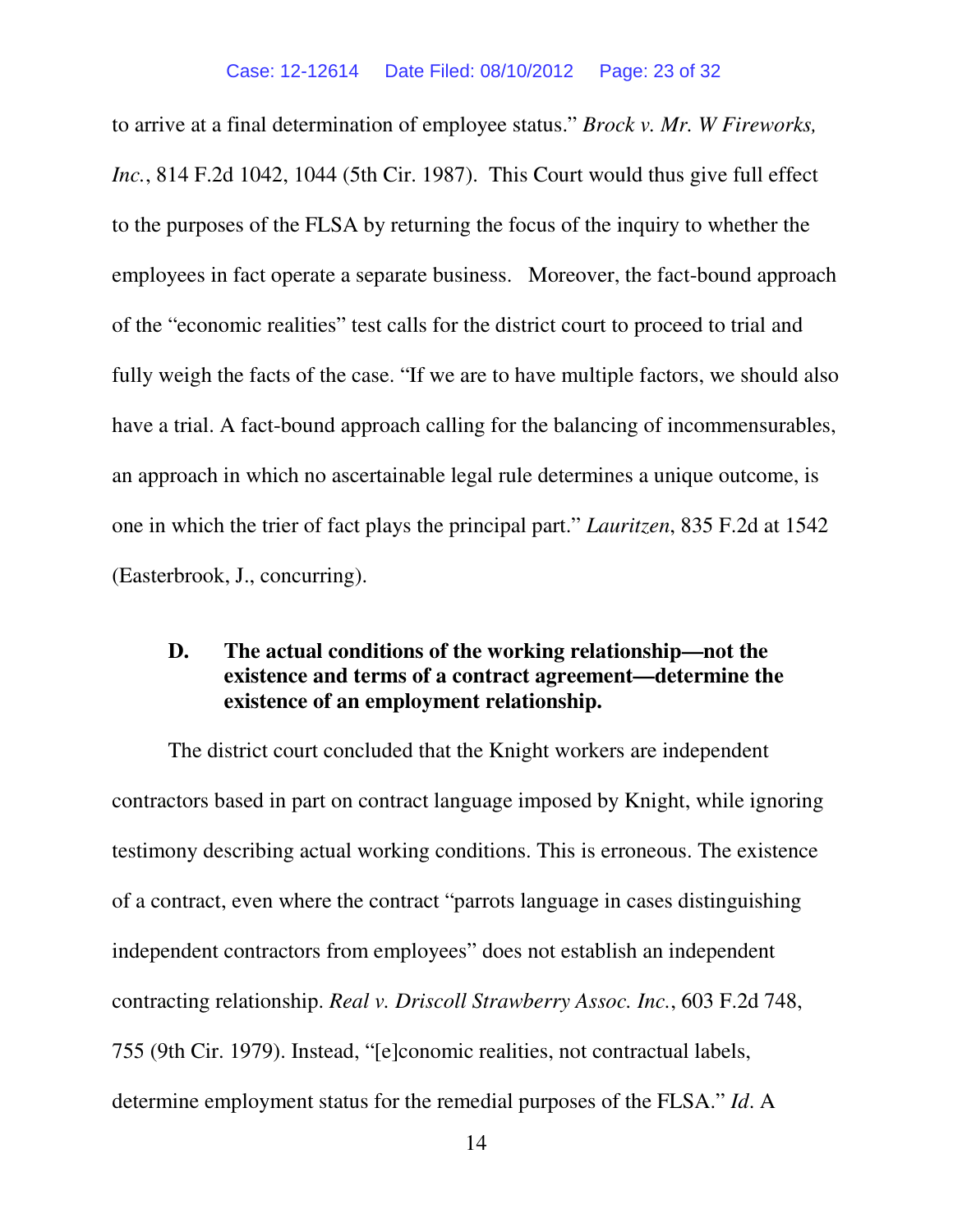to arrive at a final determination of employee status." *Brock v. Mr. W Fireworks, Inc.*, 814 F.2d 1042, 1044 (5th Cir. 1987). This Court would thus give full effect to the purposes of the FLSA by returning the focus of the inquiry to whether the employees in fact operate a separate business. Moreover, the fact-bound approach of the "economic realities" test calls for the district court to proceed to trial and fully weigh the facts of the case. "If we are to have multiple factors, we should also have a trial. A fact-bound approach calling for the balancing of incommensurables, an approach in which no ascertainable legal rule determines a unique outcome, is one in which the trier of fact plays the principal part." *Lauritzen*, 835 F.2d at 1542 (Easterbrook, J., concurring).

# **D. The actual conditions of the working relationship—not the existence and terms of a contract agreement—determine the existence of an employment relationship.**

The district court concluded that the Knight workers are independent contractors based in part on contract language imposed by Knight, while ignoring testimony describing actual working conditions. This is erroneous. The existence of a contract, even where the contract "parrots language in cases distinguishing independent contractors from employees" does not establish an independent contracting relationship. *Real v. Driscoll Strawberry Assoc. Inc.*, 603 F.2d 748, 755 (9th Cir. 1979). Instead, "[e]conomic realities, not contractual labels, determine employment status for the remedial purposes of the FLSA." *Id*. A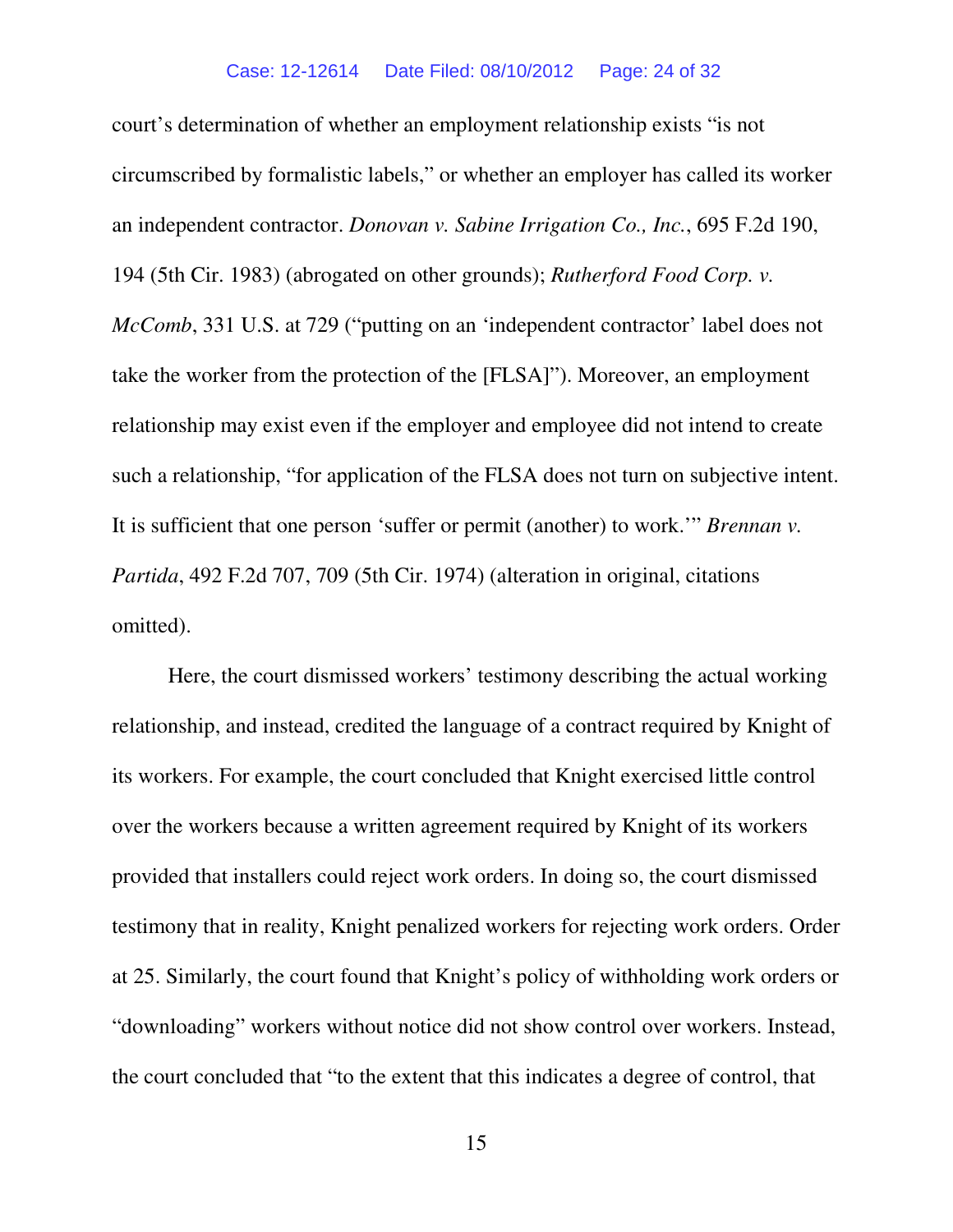court's determination of whether an employment relationship exists "is not circumscribed by formalistic labels," or whether an employer has called its worker an independent contractor. *Donovan v. Sabine Irrigation Co., Inc.*, 695 F.2d 190, 194 (5th Cir. 1983) (abrogated on other grounds); *Rutherford Food Corp. v. McComb*, 331 U.S. at 729 ("putting on an 'independent contractor' label does not take the worker from the protection of the [FLSA]"). Moreover, an employment relationship may exist even if the employer and employee did not intend to create such a relationship, "for application of the FLSA does not turn on subjective intent. It is sufficient that one person 'suffer or permit (another) to work.'" *Brennan v. Partida*, 492 F.2d 707, 709 (5th Cir. 1974) (alteration in original, citations omitted).

Here, the court dismissed workers' testimony describing the actual working relationship, and instead, credited the language of a contract required by Knight of its workers. For example, the court concluded that Knight exercised little control over the workers because a written agreement required by Knight of its workers provided that installers could reject work orders. In doing so, the court dismissed testimony that in reality, Knight penalized workers for rejecting work orders. Order at 25. Similarly, the court found that Knight's policy of withholding work orders or "downloading" workers without notice did not show control over workers. Instead, the court concluded that "to the extent that this indicates a degree of control, that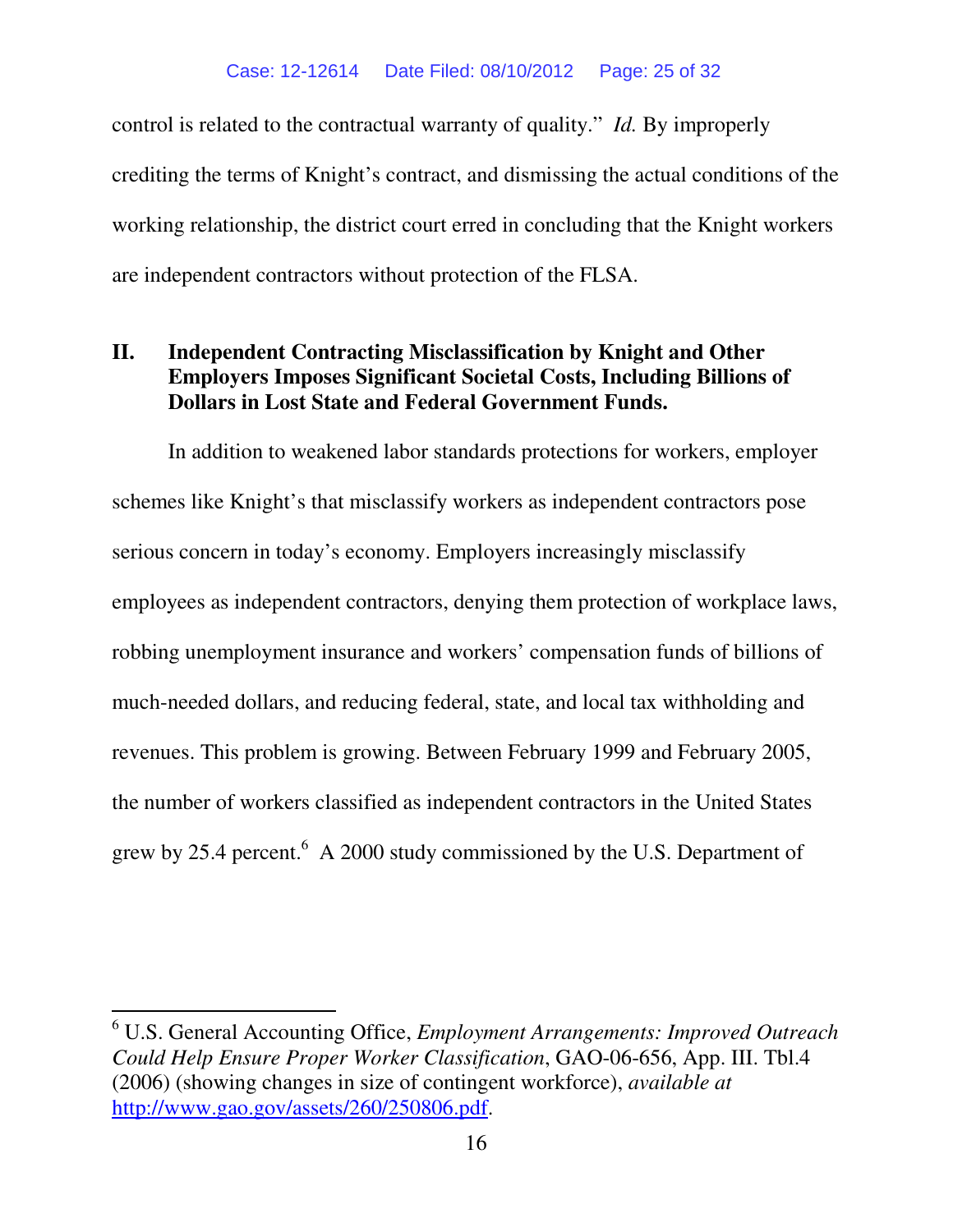control is related to the contractual warranty of quality." *Id.* By improperly crediting the terms of Knight's contract, and dismissing the actual conditions of the working relationship, the district court erred in concluding that the Knight workers are independent contractors without protection of the FLSA.

# **II. Independent Contracting Misclassification by Knight and Other Employers Imposes Significant Societal Costs, Including Billions of Dollars in Lost State and Federal Government Funds.**

In addition to weakened labor standards protections for workers, employer schemes like Knight's that misclassify workers as independent contractors pose serious concern in today's economy. Employers increasingly misclassify employees as independent contractors, denying them protection of workplace laws, robbing unemployment insurance and workers' compensation funds of billions of much-needed dollars, and reducing federal, state, and local tax withholding and revenues. This problem is growing. Between February 1999 and February 2005, the number of workers classified as independent contractors in the United States grew by 25.4 percent.  $6$  A 2000 study commissioned by the U.S. Department of

l

<sup>6</sup> U.S. General Accounting Office, *Employment Arrangements: Improved Outreach Could Help Ensure Proper Worker Classification*, GAO-06-656, App. III. Tbl.4 (2006) (showing changes in size of contingent workforce), *available at*  http://www.gao.gov/assets/260/250806.pdf.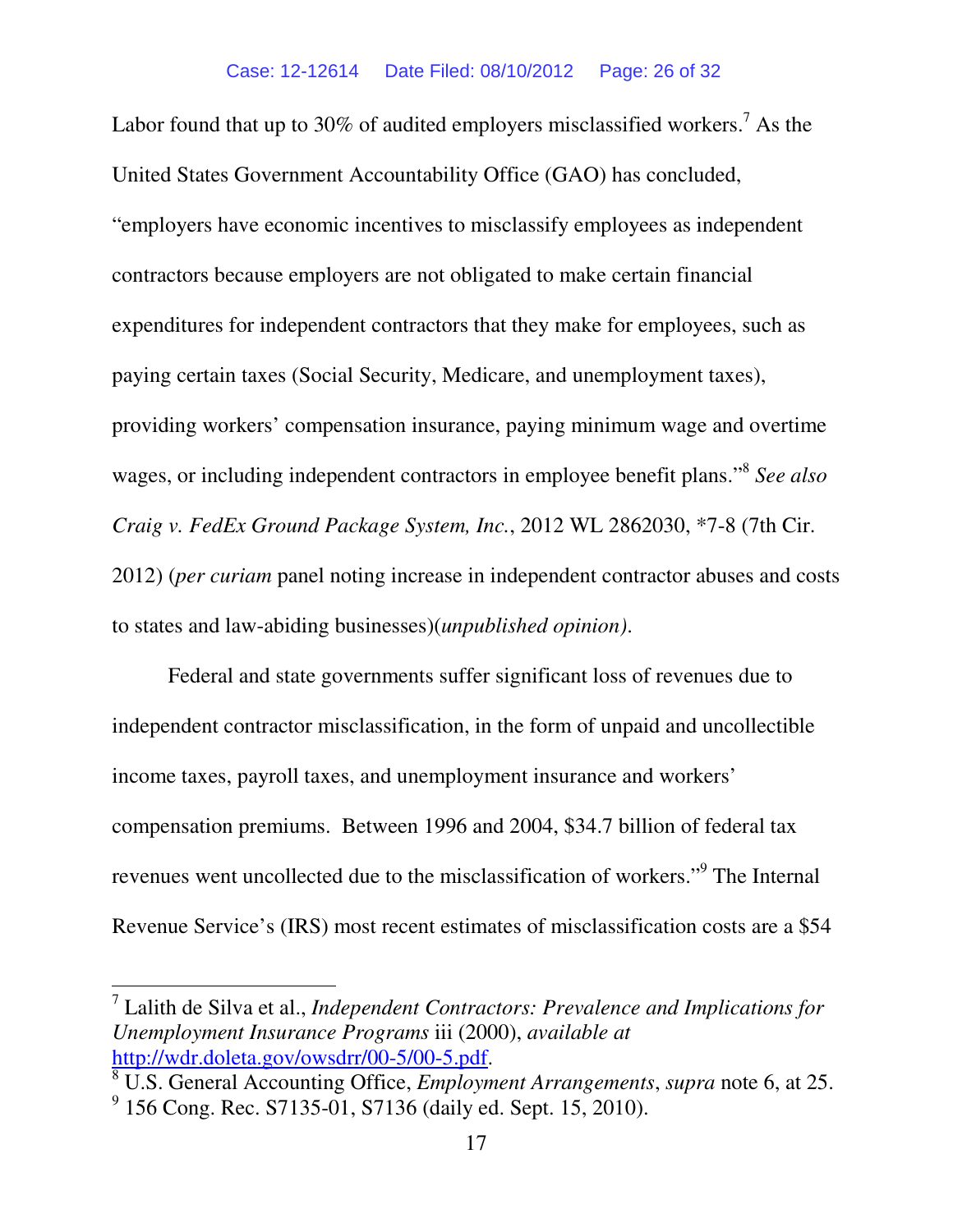Labor found that up to 30% of audited employers misclassified workers.<sup>7</sup> As the United States Government Accountability Office (GAO) has concluded, "employers have economic incentives to misclassify employees as independent contractors because employers are not obligated to make certain financial expenditures for independent contractors that they make for employees, such as paying certain taxes (Social Security, Medicare, and unemployment taxes), providing workers' compensation insurance, paying minimum wage and overtime wages, or including independent contractors in employee benefit plans."<sup>8</sup> *See also Craig v. FedEx Ground Package System, Inc.*, 2012 WL 2862030, \*7-8 (7th Cir. 2012) (*per curiam* panel noting increase in independent contractor abuses and costs to states and law-abiding businesses)(*unpublished opinion)*.

 Federal and state governments suffer significant loss of revenues due to independent contractor misclassification, in the form of unpaid and uncollectible income taxes, payroll taxes, and unemployment insurance and workers' compensation premiums. Between 1996 and 2004, \$34.7 billion of federal tax revenues went uncollected due to the misclassification of workers."<sup>9</sup> The Internal Revenue Service's (IRS) most recent estimates of misclassification costs are a \$54

l

<sup>7</sup> Lalith de Silva et al., *Independent Contractors: Prevalence and Implications for Unemployment Insurance Programs* iii (2000), *available at* http://wdr.doleta.gov/owsdrr/00-5/00-5.pdf.

<sup>8</sup> U.S. General Accounting Office, *Employment Arrangements*, *supra* note 6, at 25. <sup>9</sup> 156 Cong. Rec. S7135-01, S7136 (daily ed. Sept. 15, 2010).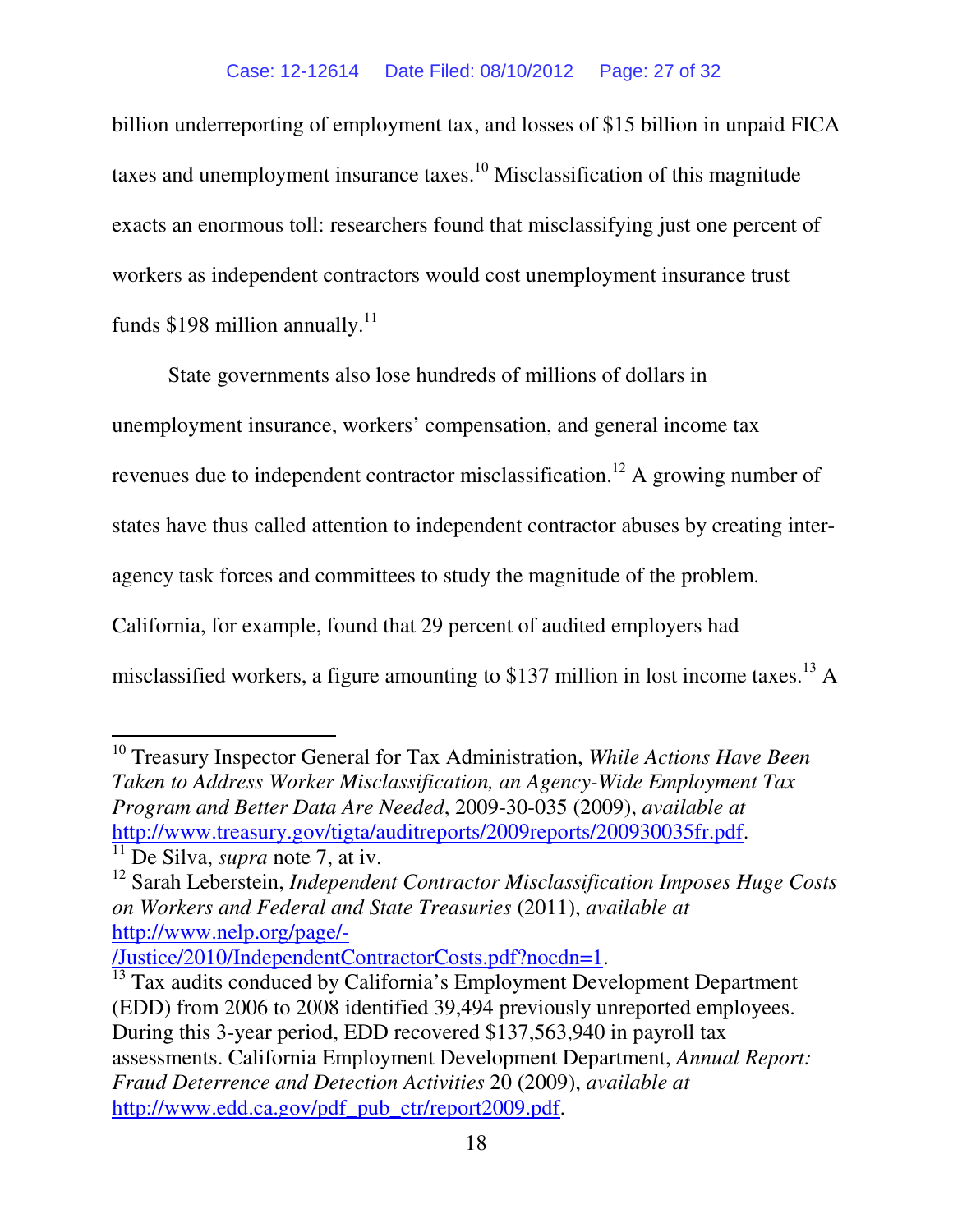billion underreporting of employment tax, and losses of \$15 billion in unpaid FICA taxes and unemployment insurance taxes.<sup>10</sup> Misclassification of this magnitude exacts an enormous toll: researchers found that misclassifying just one percent of workers as independent contractors would cost unemployment insurance trust funds  $$198$  million annually.<sup>11</sup>

 State governments also lose hundreds of millions of dollars in unemployment insurance, workers' compensation, and general income tax revenues due to independent contractor misclassification.<sup>12</sup> A growing number of states have thus called attention to independent contractor abuses by creating interagency task forces and committees to study the magnitude of the problem. California, for example, found that 29 percent of audited employers had misclassified workers, a figure amounting to \$137 million in lost income taxes.<sup>13</sup> A

l

/Justice/2010/IndependentContractorCosts.pdf?nocdn=1.

<sup>10</sup> Treasury Inspector General for Tax Administration, *While Actions Have Been Taken to Address Worker Misclassification, an Agency-Wide Employment Tax Program and Better Data Are Needed*, 2009-30-035 (2009), *available at*  http://www.treasury.gov/tigta/auditreports/2009reports/200930035fr.pdf.

<sup>11</sup> De Silva, *supra* note 7, at iv.

<sup>12</sup> Sarah Leberstein, *Independent Contractor Misclassification Imposes Huge Costs on Workers and Federal and State Treasuries* (2011), *available at*  http://www.nelp.org/page/-

<sup>&</sup>lt;sup>13</sup> Tax audits conduced by California's Employment Development Department (EDD) from 2006 to 2008 identified 39,494 previously unreported employees. During this 3-year period, EDD recovered \$137,563,940 in payroll tax assessments. California Employment Development Department, *Annual Report: Fraud Deterrence and Detection Activities* 20 (2009), *available at* http://www.edd.ca.gov/pdf\_pub\_ctr/report2009.pdf.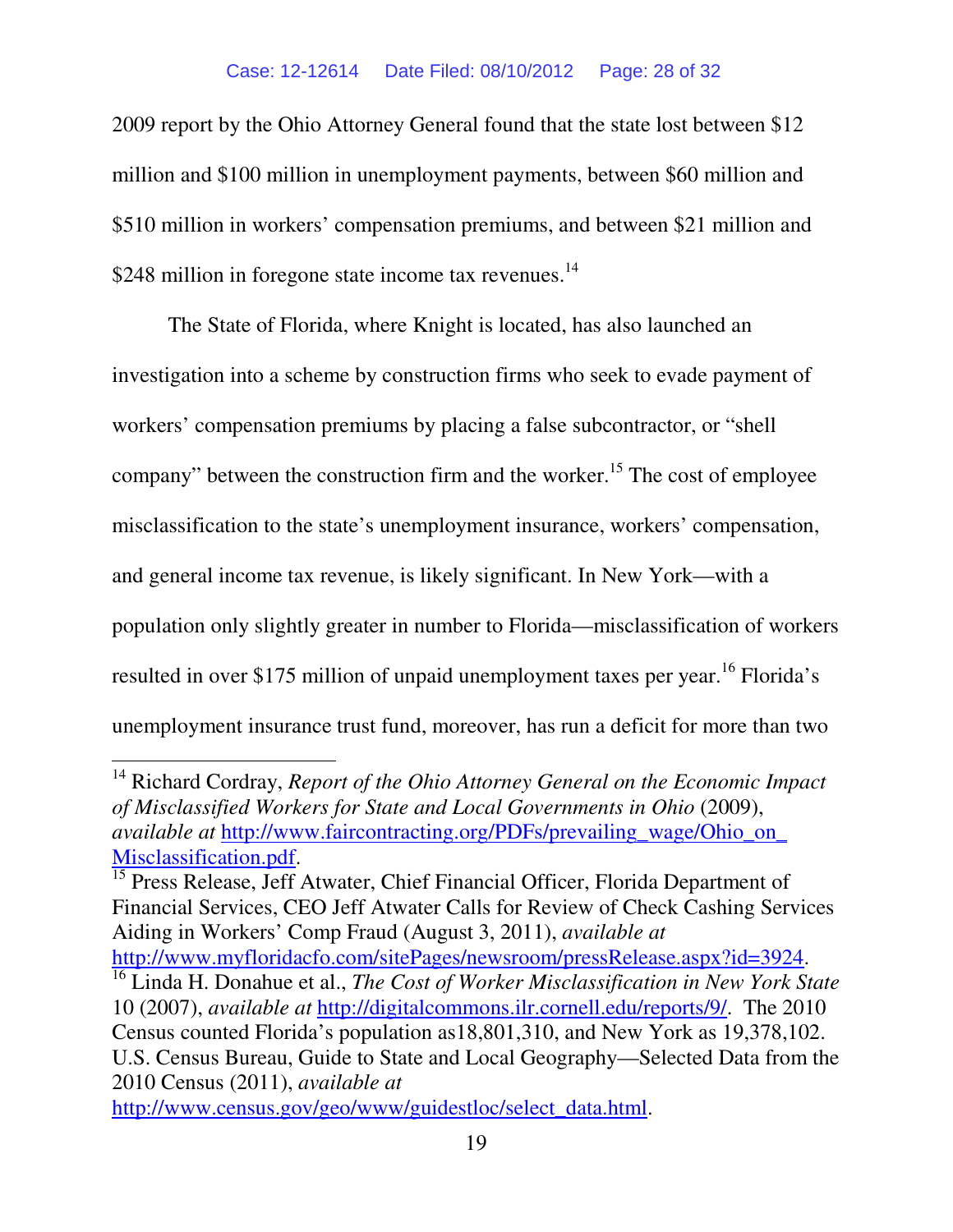#### Case: 12-12614 Date Filed: 08/10/2012 Page: 28 of 32

2009 report by the Ohio Attorney General found that the state lost between \$12 million and \$100 million in unemployment payments, between \$60 million and \$510 million in workers' compensation premiums, and between \$21 million and \$248 million in foregone state income tax revenues.<sup>14</sup>

The State of Florida, where Knight is located, has also launched an investigation into a scheme by construction firms who seek to evade payment of workers' compensation premiums by placing a false subcontractor, or "shell company" between the construction firm and the worker.<sup>15</sup> The cost of employee misclassification to the state's unemployment insurance, workers' compensation, and general income tax revenue, is likely significant. In New York—with a population only slightly greater in number to Florida—misclassification of workers resulted in over \$175 million of unpaid unemployment taxes per year.<sup>16</sup> Florida's unemployment insurance trust fund, moreover, has run a deficit for more than two

<sup>15</sup> Press Release, Jeff Atwater, Chief Financial Officer, Florida Department of Financial Services, CEO Jeff Atwater Calls for Review of Check Cashing Services Aiding in Workers' Comp Fraud (August 3, 2011), *available at* http://www.myfloridacfo.com/sitePages/newsroom/pressRelease.aspx?id=3924. <sup>16</sup> Linda H. Donahue et al., *The Cost of Worker Misclassification in New York State* 10 (2007), *available at* http://digitalcommons.ilr.cornell.edu/reports/9/. The 2010 Census counted Florida's population as18,801,310, and New York as 19,378,102. U.S. Census Bureau, Guide to State and Local Geography—Selected Data from the 2010 Census (2011), *available at*

http://www.census.gov/geo/www/guidestloc/select\_data.html.

l

<sup>14</sup> Richard Cordray, *Report of the Ohio Attorney General on the Economic Impact of Misclassified Workers for State and Local Governments in Ohio* (2009), *available at* http://www.faircontracting.org/PDFs/prevailing\_wage/Ohio\_on\_ Misclassification.pdf.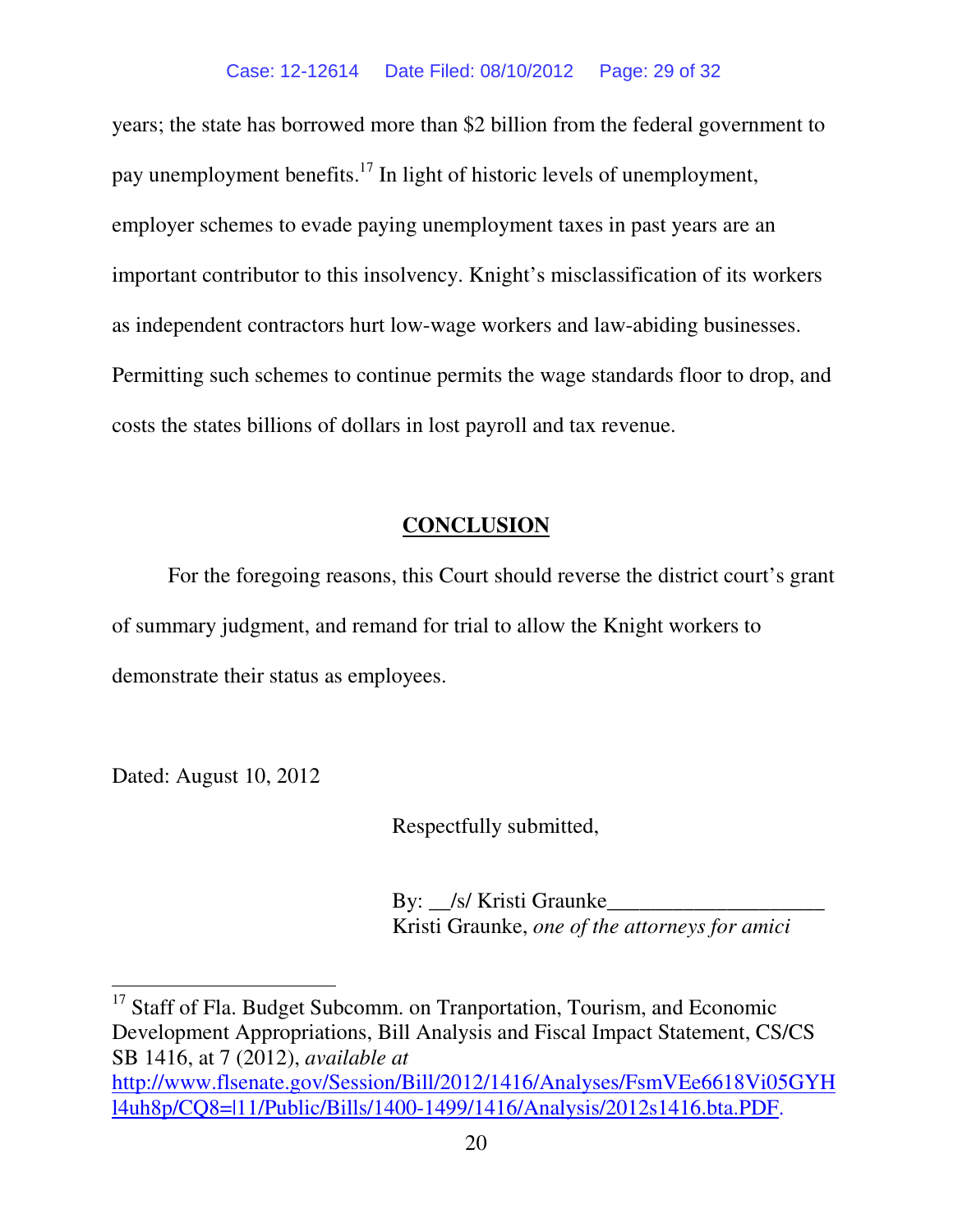years; the state has borrowed more than \$2 billion from the federal government to pay unemployment benefits.<sup>17</sup> In light of historic levels of unemployment, employer schemes to evade paying unemployment taxes in past years are an important contributor to this insolvency. Knight's misclassification of its workers as independent contractors hurt low-wage workers and law-abiding businesses. Permitting such schemes to continue permits the wage standards floor to drop, and costs the states billions of dollars in lost payroll and tax revenue.

# **CONCLUSION**

For the foregoing reasons, this Court should reverse the district court's grant of summary judgment, and remand for trial to allow the Knight workers to demonstrate their status as employees.

Dated: August 10, 2012

l

Respectfully submitted,

By: S/ Kristi Graunke Kristi Graunke, *one of the attorneys for amici* 

<sup>17</sup> Staff of Fla. Budget Subcomm. on Tranportation, Tourism, and Economic Development Appropriations, Bill Analysis and Fiscal Impact Statement, CS/CS SB 1416, at 7 (2012), *available at*  http://www.flsenate.gov/Session/Bill/2012/1416/Analyses/FsmVEe6618Vi05GYH l4uh8p/CQ8=|11/Public/Bills/1400-1499/1416/Analysis/2012s1416.bta.PDF.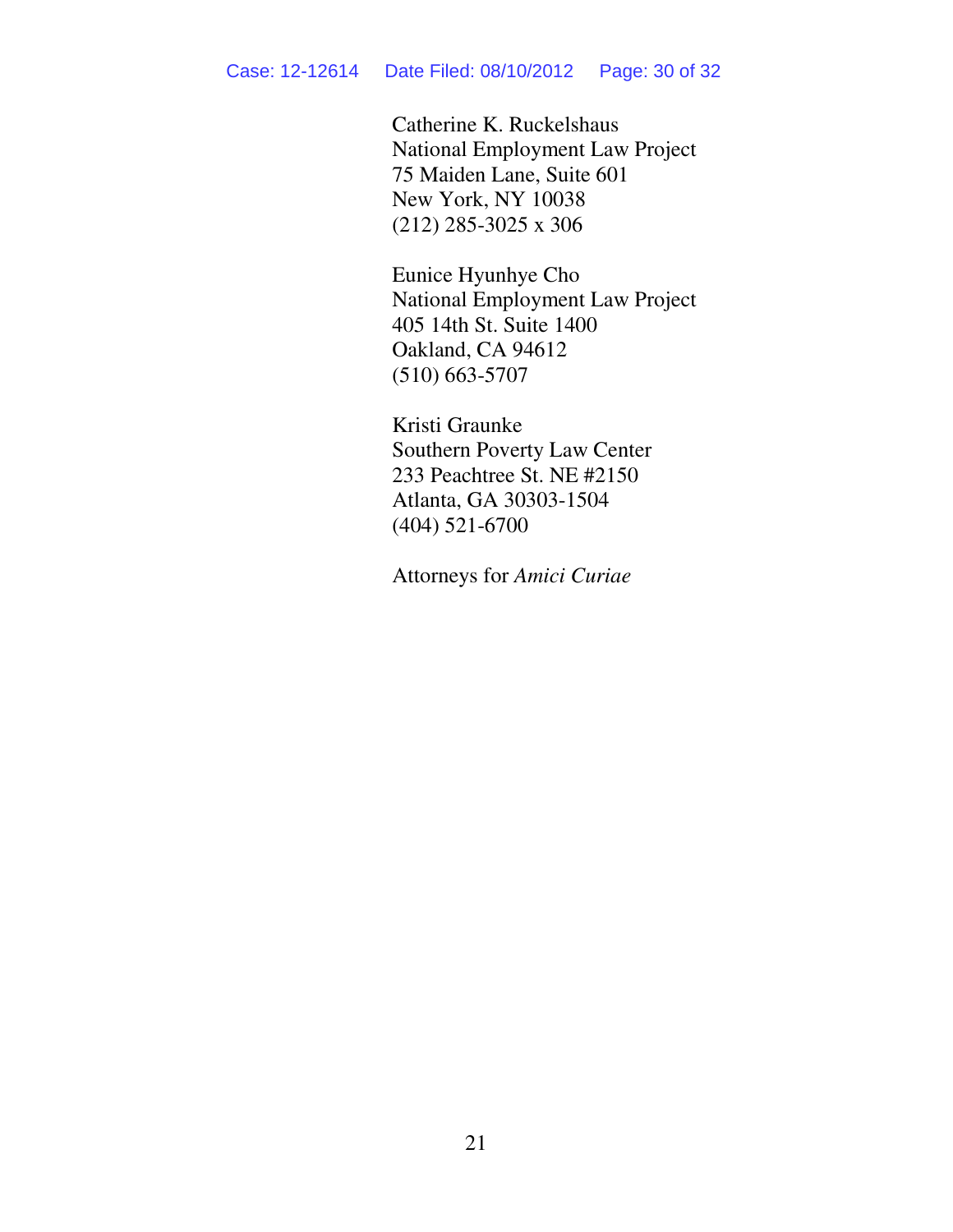Catherine K. Ruckelshaus National Employment Law Project 75 Maiden Lane, Suite 601 New York, NY 10038 (212) 285-3025 x 306

Eunice Hyunhye Cho National Employment Law Project 405 14th St. Suite 1400 Oakland, CA 94612 (510) 663-5707

Kristi Graunke Southern Poverty Law Center 233 Peachtree St. NE #2150 Atlanta, GA 30303-1504 (404) 521-6700

Attorneys for *Amici Curiae*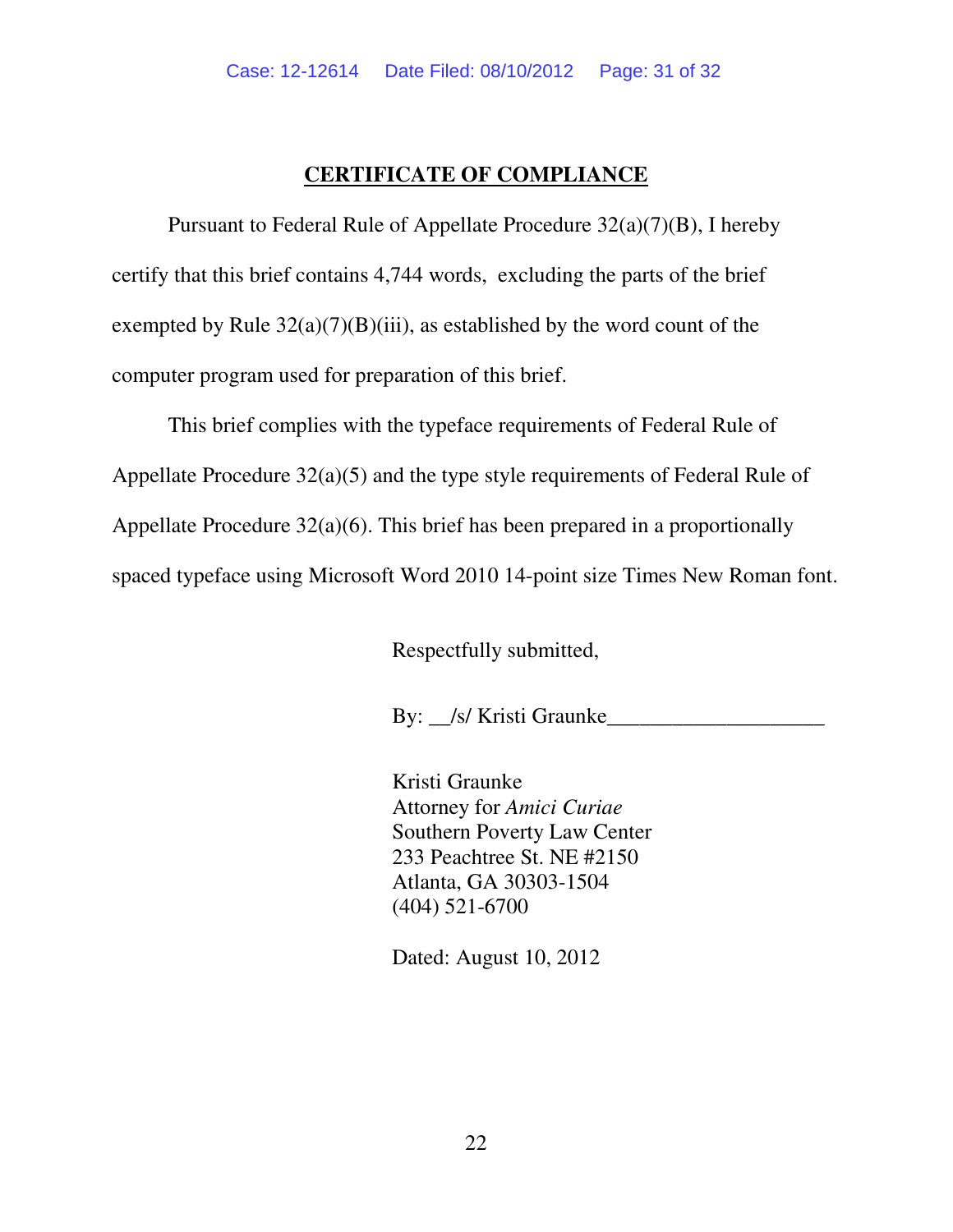### **CERTIFICATE OF COMPLIANCE**

Pursuant to Federal Rule of Appellate Procedure 32(a)(7)(B), I hereby certify that this brief contains 4,744 words, excluding the parts of the brief exempted by Rule  $32(a)(7)(B)(iii)$ , as established by the word count of the computer program used for preparation of this brief.

This brief complies with the typeface requirements of Federal Rule of Appellate Procedure 32(a)(5) and the type style requirements of Federal Rule of Appellate Procedure 32(a)(6). This brief has been prepared in a proportionally spaced typeface using Microsoft Word 2010 14-point size Times New Roman font.

Respectfully submitted,

By: S/ Kristi Graunke

Kristi Graunke Attorney for *Amici Curiae*  Southern Poverty Law Center 233 Peachtree St. NE #2150 Atlanta, GA 30303-1504 (404) 521-6700

Dated: August 10, 2012